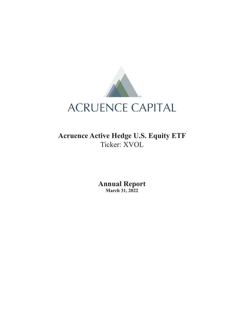

**Acruence Active Hedge U.S. Equity ETF** Ticker: XVOL

> **Annual Report March 31, 2022**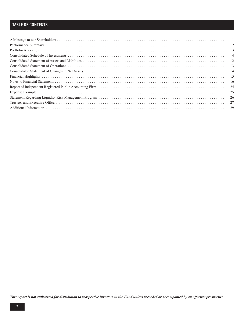# **TABLE OF CONTENTS**

| 2              |
|----------------|
| 3              |
| $\overline{4}$ |
| - 12           |
| - 13           |
| -14            |
| 15             |
| 16             |
|                |
| 25             |
| 26             |
| 27             |
| 29             |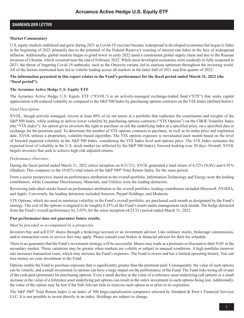### **SHAREHOLDER LETTER**

### **Market Commentary**

U.S. equity markets stabilized and grew during 2021 as Covid-19 vaccines became widespread in developed economies but began to falter in the beginning of 2022 primarily due to the potential of the Federal Reserve's warning of interest rate hikes in the face of widespread inflation. Additionally, global markets began to grind lower in early 2022 amid a constrained global supply chain and due to the Russian invasion of Ukraine, which occurred near the end of February 2022. While most developed economies were modestly to fully reopened in 2021, the threat of lingering Covid-19 outbreaks, such as the Omicron variant, led to cautious optimism throughout the investing world. All of the factors mentioned here led to volatile trading across all markets in the latter half of 2021 and first quarter of 2022.

### **The information presented in this report relates to the Fund's performance for the fiscal period ended March 31, 2022 (the "fiscal period").**

### **The Acruence Active Hedge U.S. Equity ETF**

The Acruence Active Hedge U.S. Equity ETF ("XVOL") is an actively-managed exchange-traded fund ("ETF") that seeks capital appreciation with reduced volatility as compared to the S&P 500 Index by purchasing options contracts on the VIX Index (defined below).

### *Fund Description:*

XVOL, though actively managed, invests at least 80% of its net assets in a portfolio that replicates the constituents and weights of the S&P 500 Index, while seeking to deliver lower volatility by purchasing options contracts ("VIX Options") on the CBOE Volatility Index (the "VIX Index"). An option gives investors the right to purchase or sell the underlying index at a specified price, on a specified date in exchange for the premium paid. To determine the number of VIX options contracts to purchase, as well as its strike price and expiration date, XVOL utilizes a proprietary, volatility-based algorithm. The VIX options exposure is reevaluated each month based on the level of forward expected volatility in the S&P 500 Index, considering the VIX Index level and options price. The VIX Index estimates the expected level of volatility in the U.S. stock market (as reflected by the S&P 500 Index), forward-looking over 30 days. Overall, XVOL targets investors that seek to achieve high risk-adjusted returns.

### *Performance Overview:*

During the fiscal period ended March 31, 2022 (since inception on 4/21/21), XVOL generated a total return of 6.52% (NAV) and 6.91% (Market). This compares to the 10.02% total return of the S&P 500® Total Return Index, for the same period.

From a sector perspective, based on performance attribution to the overall portfolio, Information Technology and Energy were the leading contributors, while Consumer Discretionary, Materials, and Utilities were the leading detractors.

Reviewing individual stocks based on performance attribution to the overall portfolio, leading contributors included Microsoft, NVIDIA, and Apple. Conversely, the leading detractors included Amazon, Paypal Holdings, and Moderna.

VIX Options, which are used to minimize volatility in the Fund's overall portfolio, are purchased each month as designated by the Fund's strategy. The cost of the options is targeted to be roughly 0.25% of the Fund's assets under management each month. The hedge detracted from the Fund's overall performance by 2.03% for the since inception (4/21/21) period ended March 31, 2022.

### **Past performance does not guarantee future results.**

### *Must be preceded or accompanied by a prospectus.*

Investors buy and sell ETF shares through a brokerage account or an investment advisor. Like ordinary stocks, brokerage commissions, and/or transaction costs or service fees may apply. Please consult your broker or financial advisor for their fee schedule.

There is no guarantee that the Fund's investment strategy will be successful. Shares may trade at a premium or discount to their NAV in the secondary market. These variations may be greater when markets are volatile or subject to unusual conditions. A high portfolio turnover rate increases transaction costs, which may increase the Fund's expenses. The Fund is newer and has a limited operating history. You can lose money on your investment in the Fund.

Options enable the Fund to purchase exposure that is significantly greater than the premium paid. Consequently, the value of such options can be volatile, and a small investment in options can have a large impact on the performance of the Fund. The Fund risks losing all or part of the cash paid (premium) for purchasing options. Even a small decline in the value of a reference asset underlying call options or a small increase in the value of a reference asset underlying put options can result in the entire investment in such options being lost. Additionally, the value of the option may be lost if the Sub-Adviser fails to exercise such option at or prior to its expiration.

The S&P 500<sup>®</sup> Total Return Index is an index of 500 large-capitalization companies selected by Standard & Poor's Financial Services LLC. It is not possible to invest directly in an index. Holdings are subject to change.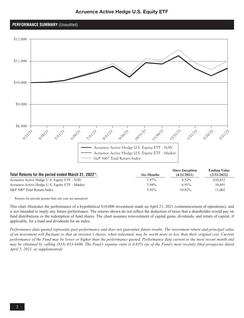

### **PERFORMANCE SUMMARY** (Unaudited)



| Total Returns for the period ended March 31, 2022*: | <b>Six-Months</b> | <b>Since Inception</b><br>(4/21/2021) | <b>Ending Value</b><br>(3/31/2022) |
|-----------------------------------------------------|-------------------|---------------------------------------|------------------------------------|
| Acruence Active Hedge U.S. Equity ETF - NAV         | $3.97\%$          | $6.52\%$                              | \$10.652                           |
| Acruence Active Hedge U.S. Equity ETF - Market      | $3.94\%$          | 6.91%                                 | 10.691                             |
| $S\&P 500^{\circ}$ Total Return Index               | $5.92\%$          | $10.02\%$                             | 1.002                              |

Returns for periods greater than one year are annualzed

This chart illustrates the performance of a hypothetical \$10,000 investment made on April 21, 2021 (commencement of operations), and is not intended to imply any future performance. The returns shown do not reflect the deduction of taxes that a shareholder would pay on fund distributions or the redemption of fund shares. The chart assumes reinvestment of capital gains, dividends, and return of capital, if applicable, for a fund and dividends for an index.

*Performance data quoted represents past performance and does not guarantee future results. The investment return and principal value of an investment will fluctuate so that an investor's shares, when redeemed, may be worth more or less than their original cost. Current performance of the Fund may be lower or higher than the performance quoted. Performance data current to the most recent month end may be obtained by calling (833) 653-6400. The Fund's expense ratio is 0.83% (as of the Fund's most recently filed prospectus dated April 5, 2021, as supplemented).*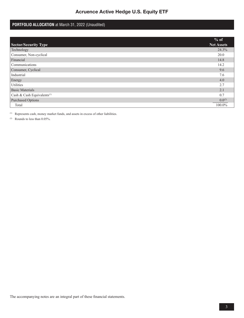# **PORTFOLIO ALLOCATION** at March 31, 2022 (Unaudited)

|                                        | % of              |
|----------------------------------------|-------------------|
| <b>Sector/Security Type</b>            | <b>Net Assets</b> |
| Technology                             | 24.3%             |
| Consumer, Non-cyclical                 | 20.0              |
| Financial                              | 14.8              |
| Communications                         | 14.2              |
| Consumer, Cyclical                     | 9.6               |
| Industrial                             | 7.6               |
| Energy                                 | 4.0               |
| Utilities                              | 2.7               |
| <b>Basic Materials</b>                 | 2.1               |
| Cash & Cash Equivalents <sup>(1)</sup> | 0 <sub>7</sub>    |
| <b>Purchased Options</b>               | $0.0^{(2)}$       |
| Total                                  | 100.0%            |

(1) Represents cash, money market funds, and assets in excess of other liabilities.

(2) Rounds to less than 0.05%.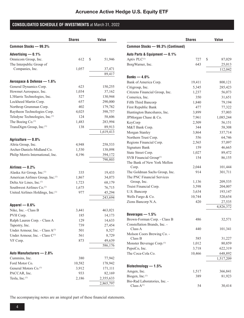# **CONSOLIDATED SCHEDULE OF INVESTMENTS** at March 31, 2022

|                                             | <b>Shares</b> | Value        |
|---------------------------------------------|---------------|--------------|
| Common Stocks - 99.3%                       |               |              |
| Advertising $-0.1%$                         |               |              |
| Omnicom Group, Inc.                         | 612           | \$<br>51,946 |
| The Interpublic Group of                    |               |              |
| Companies, Inc.                             | 1,057         | 37,471       |
|                                             |               | 89,417       |
| Aerospace & Defense - 1.6%                  |               |              |
| General Dynamics Corp.                      | 623           | 150,255      |
| Howmet Aerospace, Inc.                      | 1,034         | 37,162       |
| L3Harris Technologies, Inc.                 | 527           | 130,944      |
| Lockheed Martin Corp.                       | 657           | 290,000      |
| Northrop Grumman Corp.                      | 402           | 179,782      |
| Raytheon Technologies Corp.                 | 4,025         | 398,757      |
| Teledyne Technologies, Inc.(1)              | 124           | 58,606       |
| The Boeing Co. <sup>(1)</sup>               | 1,483         | 283,994      |
| TransDigm Group, Inc.(1)                    | 138           | 89,913       |
|                                             |               | 1,619,413    |
| Agriculture - 0.8%                          |               |              |
| Altria Group, Inc.                          | 4,948         | 258,533      |
| Archer-Daniels-Midland Co.                  | 1,530         | 138,098      |
| Philip Morris International, Inc.           | 4,196         | 394,172      |
|                                             |               | 790,803      |
| Airlines $-0.2%$                            |               |              |
| Alaska Air Group, Inc.(1)                   | 335           | 19,433       |
| American Airlines Group, Inc.(1)            | 1,867         | 34,073       |
| Delta Air Lines, Inc. <sup>(1)</sup>        | 1,723         | 68,179       |
| Southwest Airlines Co. <sup>(1)</sup>       | 1,675         | 76,715       |
| United Airlines Holdings, Inc.(1)           | 977           | 45,294       |
|                                             |               | 243,694      |
|                                             |               |              |
| Apparel $-0.6%$                             |               |              |
| Nike, Inc. - Class B                        | 3,441         | 463,021      |
| PVH Corp.                                   | 185           | 14,173       |
| Ralph Lauren Corp. - Class A                | 129           | 14,633       |
| Tapestry, Inc.                              | 739           | 27,454       |
| Under Armour, Inc. - Class A <sup>(1)</sup> | 501           | 8,527        |
| Under Armour, Inc. - Class C <sup>(1)</sup> | 561           | 8,729        |
| VF Corp.                                    | 873           | 49,639       |
|                                             |               | 586,176      |
| Auto Manufacturers - 2.8%                   |               |              |
| Cummins, Inc.                               | 380           | 77,942       |
| Ford Motor Co.                              | 10,582        | 178,942      |
| General Motors Co. <sup>(1)</sup>           | 3,912         | 171,111      |
| PACCAR, Inc.                                | 933           | 82,169       |
| Tesla, Inc. <sup>(1)</sup>                  | 2,186         | 2,355,633    |
|                                             |               | 2,865,797    |

|                                                              | <b>Shares</b> | <b>Value</b>        |
|--------------------------------------------------------------|---------------|---------------------|
| Common Stocks - 99.3% (Continued)                            |               |                     |
| Auto Parts & Equipment - 0.1%                                |               |                     |
| Aptiv PLC <sup>(1)</sup>                                     | 727           | \$<br>87,029        |
| BorgWarner, Inc.                                             | 643           | 25,013              |
|                                                              |               | 112,042             |
| Banks $-4.6%$                                                |               |                     |
| Bank of America Corp.                                        | 19,411        | 800,121             |
| Citigroup, Inc.                                              | 5,345         | 285,423             |
| Citizens Financial Group, Inc.                               | 1,237         | 56,073              |
| Comerica, Inc.                                               | 350           | 31,651              |
| Fifth Third Bancorp                                          | 1,840         | 79,194              |
| First Republic Bank                                          | 477           | 77,322              |
| Huntington Bancshares, Inc.                                  | 3,899         | 57,003              |
| JPMorgan Chase & Co.                                         | 7,961         | 1,085,244           |
| KeyCorp                                                      | 2,509         | 56,151              |
| M&T Bank Corp.                                               | 344           | 58,308              |
| Morgan Stanley                                               | 3,864         | 337,714             |
| Northern Trust Corp.                                         | 556           | 64,746              |
| Regions Financial Corp.                                      | 2,565         | 57,097              |
| Signature Bank                                               | 159           | 46,665              |
| State Street Corp.                                           | 1,027         | 89,472              |
| SVB Financial Group <sup>(1)</sup>                           | 154           | 86,155              |
| The Bank of New York Mellon                                  |               |                     |
| Corp.                                                        | 2,044         | 101,444             |
| The Goldman Sachs Group, Inc.                                | 914           | 301,711             |
| The PNC Financial Services                                   |               |                     |
| Group, Inc.                                                  | 1,136         | 209,535             |
| Truist Financial Corp.                                       | 3,598         | 204,007             |
| U.S. Bancorp                                                 | 3,634         | 193,147             |
| Wells Fargo & Co.                                            | 10,744        | 520,654             |
| Zions Bancorp N.A.                                           | 420           | 27,535<br>4,826,372 |
|                                                              |               |                     |
| Beverages $-1.5%$                                            | 486           |                     |
| Brown-Forman Corp. - Class B<br>Constellation Brands, Inc. - |               | 32,571              |
| Class A                                                      | 440           | 101,341             |
| Molson Coors Brewing Co. -<br>Class B                        | 585           | 31,227              |
| Monster Beverage Corp. <sup>(1)</sup>                        | 1,012         | 80,859              |
| PepsiCo, Inc.                                                | 3,718         | 622,319             |
| The Coca-Cola Co.                                            | 10,466        | 648,892             |
|                                                              |               | 1,517,209           |
| Biotechnology - 1.5%                                         |               |                     |
| Amgen, Inc.                                                  | 1,517         | 366,841             |
| Biogen, Inc.(1)                                              | 389           | 81,923              |
| Bio-Rad Laboratories, Inc. -                                 |               |                     |
| Class $A^{(1)}$                                              | 54            | 30,414              |
|                                                              |               |                     |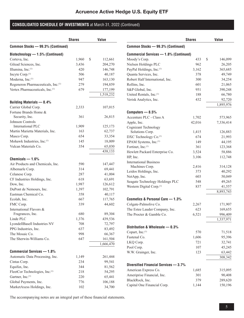|                                    | <b>Shares</b> | <b>Value</b>  |
|------------------------------------|---------------|---------------|
| Common Stocks - 99.3% (Continued)  |               |               |
| Biotechnology - 1.5% (Continued)   |               |               |
| Corteva, Inc.                      | 1,960         | \$<br>112,661 |
| Gilead Sciences, Inc.              | 3,436         | 204,270       |
| Illumina, Inc.(1)                  | 420           | 146,748       |
| Incyte Corp. <sup>(1)</sup>        | 506           | 40,187        |
| Moderna, Inc.(1)                   | 947           | 163,130       |
| Regeneron Pharmaceuticals, Inc.(1) | 279           | 194,859       |
| Vertex Pharmaceuticals, Inc.(1)    | 679           | 177,199       |
|                                    |               | 1,518,232     |
| <b>Building Materials - 0.4%</b>   |               |               |
| Carrier Global Corp.               | 2,333         | 107,015       |
| Fortune Brands Home &              |               |               |
| Security, Inc.                     | 361           | 26,815        |
| Johnson Controls                   |               |               |
| International PLC                  | 1,909         | 125,173       |
| Martin Marietta Materials, Inc.    | 163           | 62,737        |
| Masco Corp.                        | 654           | 33,354        |
| Mohawk Industries, Inc.(1)         | 145           | 18,009        |
| Vulcan Materials Co.               | 354           | 65,030        |
|                                    |               | 438,133       |
| Chemicals $-1.6%$                  |               |               |
| Air Products and Chemicals, Inc.   | 590           | 147,447       |
| Albemarle Corp.                    | 314           | 69,441        |
| Celanese Corp.                     | 287           | 41,004        |
| CF Industries Holdings, Inc.       | 618           | 63,691        |
| Dow, Inc.                          | 1,987         | 126,612       |
| DuPont de Nemours, Inc.            | 1,397         | 102,791       |
| Eastman Chemical Co.               | 358           | 40,117        |
| Ecolab, Inc.                       | 667           | 117,765       |
| FMC Corp.                          | 339           | 44,602        |
| International Flavors &            |               |               |
| Fragrances, Inc.                   | 680           | 89,304        |
| Linde PLC                          | 1,376         | 439,536       |
| LyondellBasell Industries NV       | 708           | 72,797        |
| PPG Industries, Inc.               | 637           | 83,492        |
| The Mosaic Co.                     | 998           | 66,367        |
| The Sherwin-Williams Co.           | 647           | 161,504       |
|                                    |               | 1,666,470     |
| <b>Commercial Services - 1.8%</b>  |               |               |
| Automatic Data Processing, Inc.    | 1,149         | 261,444       |
| Cintas Corp.                       | 234           | 99,541        |
| Equifax, Inc.                      | 344           | 81,562        |
| FleetCor Technologies, Inc.(1)     | 218           | 54,295        |
| Gartner, Inc. <sup>(1)</sup>       | 220           | 65,441        |
| Global Payments, Inc.              | 776           | 106,188       |
| MarketAxess Holdings, Inc.         | 102           | 34,700        |

|                                        | Shares | Value         |
|----------------------------------------|--------|---------------|
| Common Stocks - 99.3% (Continued)      |        |               |
| Commercial Services - 1.8% (Continued) |        |               |
| Moody's Corp.                          | 433    | \$<br>146,099 |
| Nielsen Holdings PLC                   | 962    | 26,205        |
| PayPal Holdings, Inc.(1)               | 3,162  | 365,685       |
| Quanta Services, Inc.                  | 378    | 49,749        |
| Robert Half International, Inc.        | 300    | 34,254        |
| Rollins, Inc.                          | 601    | 21,065        |
| S&P Global, Inc.                       | 951    | 390,248       |
| United Rentals, Inc.(1)                | 188    | 66,780        |
| Verisk Analytics, Inc.                 | 432    | 92,720        |
|                                        |        |               |
|                                        |        | 1,895,976     |
| Computers $-8.5%$                      |        |               |
| Accenture PLC - Class A                | 1,702  | 573,965       |
| Apple, Inc.                            | 42,016 | 7,336,414     |
| Cognizant Technology                   |        |               |
| Solutions Corp.                        | 1,415  | 126,883       |
| DXC Technology Co. <sup>(1)</sup>      | 674    | 21,993        |
| EPAM Systems, Inc.(1)                  | 149    | 44,195        |
| Fortinet, Inc.(1)                      | 361    | 123,368       |
| Hewlett Packard Enterprise Co.         | 3,524  | 58,886        |
| HP, Inc.                               | 3,106  | 112,748       |
| <b>International Business</b>          |        |               |
| Machines Corp.                         | 2,416  | 314,128       |
| Leidos Holdings, Inc.                  | 373    | 40,292        |
| NetApp, Inc.                           | 603    | 50,049        |
| Seagate Technology Holdings PLC        | 548    | 49,265        |
| Western Digital Corp. <sup>(1)</sup>   | 837    | 41,557        |
|                                        |        | 8,893,743     |
| Cosmetics & Personal Care - 1.3%       |        |               |
| Colgate-Palmolive Co.                  | 2,267  | 171,907       |
| The Estee Lauder Company, Inc.         | 623    | 169,655       |
| The Procter & Gamble Co.               | 6,521  | 996,409       |
|                                        |        | 1,337,971     |
|                                        |        |               |
| Distribution & Wholesale - 0.3%        |        |               |
| Copart, Inc. <sup>(1)</sup>            | 570    | 71,518        |
| Fastenal Co.                           | 1,606  | 95,396        |
| LKQ Corp.                              | 721    | 32,741        |
| Pool Corp.                             | 107    | 45,245        |
| W.W. Grainger, Inc.                    | 123    | 63,442        |
|                                        |        | 308,342       |
| Diversified Financial Services - 3.7%  |        |               |
| American Express Co.                   | 1,685  | 315,095       |
| Ameriprise Financial, Inc.             | 301    | 90,408        |
| BlackRock, Inc.                        | 379    | 289,620       |
| Capital One Financial Corp.            | 1,144  | 150,196       |
|                                        |        |               |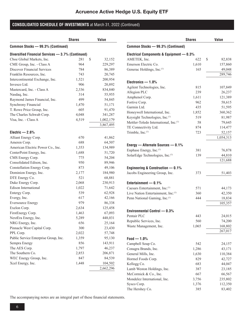|                                                   | <b>Shares</b> | <b>Value</b> |
|---------------------------------------------------|---------------|--------------|
| Common Stocks - 99.3% (Continued)                 |               |              |
| Diversified Financial Services - 3.7% (Continued) |               |              |
| Cboe Global Markets, Inc.                         | 281<br>\$     | 32,152       |
| CME Group, Inc. - Class A                         | 964           | 229,297      |
| <b>Discover Financial Services</b>                | 784           | 86,389       |
| Franklin Resources, Inc.                          | 743           | 20,745       |
| Intercontinental Exchange, Inc.                   | 1,521         | 200,954      |
| Invesco Ltd.                                      | 906           | 20,892       |
| Mastercard, Inc. - Class A                        | 2,336         | 834,840      |
| Nasdaq, Inc.                                      | 314           | 55,955       |
| Raymond James Financial, Inc.                     | 499           | 54,845       |
| Synchrony Financial                               | 1,470         | 51,171       |
| T. Rowe Price Group, Inc.                         | 605           | 91,470       |
| The Charles Schwab Corp.                          | 4,048         | 341,287      |
| Visa, Inc. - Class A                              | 4,519         | 1,002,179    |
|                                                   |               | 3,867,495    |
|                                                   |               |              |
| Electric $-2.6%$                                  |               |              |
| Alliant Energy Corp.                              | 670           | 41,862       |
| Ameren Corp.                                      | 688           | 64,507       |
| American Electric Power Co., Inc.                 | 1,353         | 134,989      |
| CenterPoint Energy, Inc.                          | 1,688         | 51,720       |
| CMS Energy Corp.                                  | 775           | 54,204       |
| Consolidated Edison, Inc.                         | 950           | 89,946       |
| Constellation Energy Corp.                        | 873           | 49,106       |
| Dominion Energy, Inc.                             | 2,177         | 184,980      |
| DTE Energy Co.                                    | 521           | 68,881       |
| Duke Energy Corp.                                 | 2,068         | 230,913      |
| Edison International                              | 1,022         | 71,642       |
| Entergy Corp.                                     | 539           | 62,928       |
| Evergy, Inc.                                      | 617           | 42,166       |
| <b>Eversource Energy</b>                          | 979           | 86,338       |
| Exelon Corp.                                      | 2,634         | 125,458      |
| FirstEnergy Corp.                                 | 1,463         | 67,093       |
| NextEra Energy, Inc.                              | 5,289         | 448,031      |
| NRG Energy, Inc.                                  | 656           | 25,164       |
| Pinnacle West Capital Corp.                       | 300           | 23,430       |
| PPL Corp.                                         | 2,022         | 57,748       |
| Public Service Enterprise Group, Inc.             | 1,359         | 95,130       |
| Sempra Energy                                     | 856           | 143,911      |
| The AES Corp.                                     | 1,797         | 46,237       |
| The Southern Co.                                  | 2,853         | 206,871      |
| WEC Energy Group, Inc.                            | 847           | 84,539       |
| Xcel Energy, Inc.                                 | 1,448         | 104,502      |
|                                                   |               | 2,662,296    |

|                                          | <b>Shares</b> | Value        |
|------------------------------------------|---------------|--------------|
| Common Stocks - 99.3% (Continued)        |               |              |
| Electrical Components & Equipment - 0.3% |               |              |
| AMETEK, Inc.                             | 622           | \$<br>82,838 |
| Emerson Electric Co.                     | 1,610         | 157,860      |
| Generac Holdings, Inc.(1)                | 165           | 49,048       |
|                                          |               | 289,746      |
| Electronics $-1.0%$                      |               |              |
| Agilent Technologies, Inc.               | 815           | 107,849      |
| Allegion PLC                             | 239           | 26,237       |
| Amphenol Corp.                           | 1,611         | 121,389      |
| Fortive Corp.                            | 962           | 58,615       |
| Garmin Ltd.                              | 435           | 51,595       |
| Honeywell International, Inc.            | 1,852         | 360,362      |
| Keysight Technologies, Inc.(1)           | 519           | 81,987       |
| Mettler-Toledo International, Inc.(1)    | 58            | 79,645       |
| TE Connectivity Ltd.                     | 874           | 114,477      |
| Trimble, Inc.(1)                         | 723           | 52,157       |
|                                          |               | 1,054,313    |
|                                          |               |              |
| Energy - Alternate Sources - 0.1%        |               |              |
| Enphase Energy, Inc.(1)                  | 381           | 76,878       |
| SolarEdge Technologies, Inc.(1)          | 139           | 44,810       |
|                                          |               | 121,688      |
| Engineering & Construction - 0.1%        |               |              |
| Jacobs Engineering Group, Inc.           | 373           | 51,403       |
| Entertainment $-0.1%$                    |               |              |
| Caesars Entertainment, Inc.(1)           | 571           | 44,173       |
| Live Nation Entertainment, Inc.(1)       | 360           | 42,350       |
| Penn National Gaming, Inc.(1)            | 444           | 18,834       |
|                                          |               | 105,357      |
| Environmental Control - 0.3%             |               |              |
| Pentair PLC                              | 443           | 24,015       |
| Republic Services, Inc.                  | 560           | 74,200       |
| Waste Management, Inc.                   | 1,065         | 168,802      |
|                                          |               | 267,017      |
|                                          |               |              |
| $Food - 1.0%$                            |               |              |
| Campbell Soup Co.                        | 542           | 24,157       |
| Conagra Brands, Inc.                     | 1,286         | 43,171       |
| General Mills, Inc.                      | 1,630         | 110,384      |
| Hormel Foods Corp.                       | 829           | 42,727       |
| Kellogg Co.                              | 683           | 44,047       |
| Lamb Weston Holdings, Inc.               | 387           | 23,185       |
| McCormick & Co., Inc.                    | 667           | 66,567       |
| Mondelez International, Inc.             | 3,756         | 235,802      |
| Sysco Corp.                              | 1,376         | 112,350      |
| The Hershey Co.                          | 385           | 83,402       |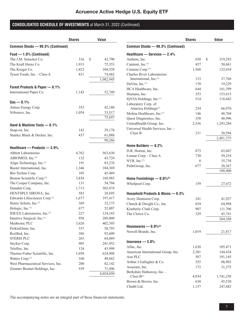|                                           | <b>Shares</b> | <b>Value</b>     |
|-------------------------------------------|---------------|------------------|
| Common Stocks - 99.3% (Continued)         |               |                  |
| Food - 1.0% (Continued)                   |               |                  |
| The J.M. Smucker Co.                      | 316           | \$<br>42,790     |
| The Kraft Heinz Co.                       | 1,913         | 75,353           |
| The Kroger Co.                            | 1,822         | 104,528          |
| Tyson Foods, Inc. - Class A               | 831           | 74,482           |
|                                           |               | 1,082,945        |
| Forest Products & Paper - 0.1%            |               |                  |
| International Paper Co.                   | 1,143         | 52,749           |
|                                           |               |                  |
| $Gas - 0.1%$                              |               |                  |
| Atmos Energy Corp.                        | 353           | 42,180           |
| NiSource, Inc.                            | 1,054         | 33,517<br>75,697 |
|                                           |               |                  |
| Hand & Machine Tools $-$ 0.1%             |               |                  |
| Snap-on, Inc.                             | 142           | 29,178           |
| Stanley Black & Decker, Inc.              | 437           | 61,088           |
|                                           |               | 90,266           |
| Healthcare - Products - 3.9%              |               |                  |
| <b>Abbott Laboratories</b>                | 4,762         | 563,630          |
| ABIOMED, Inc.(1)                          | 132           | 43,724           |
| Align Technology, Inc.(1)                 | 191           | 83,276           |
| Baxter International, Inc.                | 1,346         | 104,369          |
| Bio-Techne Corp.                          | 105           | 45,469           |
| Boston Scientific Corp. <sup>(1)</sup>    | 3,838         | 169,985          |
| The Cooper Company, Inc.                  | 131           | 54,704           |
| Danaher Corp.                             | 1,713         | 502,474          |
| DENTSPLY SIRONA, Inc.                     | 583           | 28,695           |
| Edwards Lifesciences Corp. <sup>(1)</sup> | 1,677         | 197,417          |
| Henry Schein, Inc. <sup>(1)</sup>         | 369           | 32,173           |
| Hologic, Inc.(1)                          | 677           | 52,007           |
| IDEXX Laboratories, Inc.(1)               | 227           | 124,183          |
| Intuitive Surgical, Inc.(1)               | 958           | 289,009          |
| Medtronic PLC                             | 3,626         | 402,305          |
| PerkinElmer, Inc.                         | 337           | 58,793           |
| ResMed, Inc.                              | 386           | 93,609           |
| <b>STERIS PLC</b>                         | 265           | 64,069           |
| Stryker Corp.                             | 905           | 241,952          |
| Teleflex, Inc.                            | 124           | 43,999           |
| Thermo Fisher Scientific, Inc.            | 1,058         | 624,908          |
| Waters Corp. <sup>(1)</sup>               | 160           | 49,662           |
| West Pharmaceutical Services, Inc.        | 200           | 82,142           |
| Zimmer Biomet Holdings, Inc.              | 559           | 71,496           |
|                                           |               | 4,024,050        |

|                                               | <b>Shares</b> | Value         |
|-----------------------------------------------|---------------|---------------|
| Common Stocks - 99.3% (Continued)             |               |               |
| Healthcare - Services - 2.4%                  |               |               |
| Anthem, Inc.                                  | 650           | \$<br>319,293 |
| Catalent, Inc.(1)                             | 457           | 50,681        |
| Centene Corp. <sup>(1)</sup>                  | 1,568         | 132,010       |
| <b>Charles River Laboratories</b>             |               |               |
| International, Inc.(1)                        | 133           | 37,768        |
| DaVita, Inc. <sup>(1)</sup>                   | 170           | 19,229        |
| HCA Healthcare, Inc.                          | 644           | 161,399       |
| Humana, Inc.                                  | 353           | 153,615       |
| IQVIA Holdings, Inc.(1)                       | 514           | 118,842       |
| Laboratory Corp. of                           |               |               |
| America Holdings <sup>(1)</sup>               | 254           | 66,970        |
| Molina Healthcare, Inc.(1)                    | 146           | 48,704        |
| Quest Diagnostics, Inc.                       | 358           | 48,996        |
| UnitedHealth Group, Inc.                      | 2,536         | 1,293,284     |
| Universal Health Services, Inc. -             |               |               |
| Class B                                       | 211           | 30,584        |
|                                               |               | 2,481,375     |
| Home Builders $-0.2%$                         |               |               |
| D.R. Horton, Inc.                             | 873           | 65,047        |
| Lennar Corp. - Class A                        | 730           | 59,254        |
| NVR, Inc. <sup>(1)</sup>                      | 8             | 35,738        |
| PulteGroup, Inc.                              | 677           | 28,367        |
|                                               |               | 188,406       |
| Home Furnishings $- 0.0\%$ <sup>(2)</sup>     |               |               |
| Whirlpool Corp.                               | 159           | 27,472        |
|                                               |               |               |
| Household Products & Wares - 0.3%             |               |               |
| Avery Dennison Corp.                          | 241           | 41,927        |
| Church & Dwight Co., Inc.                     | 654           | 64,994        |
| Kimberly-Clark Corp.                          | 907           | 111,706       |
| The Clorox Co.                                | 329           | 45,741        |
|                                               |               | 264,368       |
| Housewares $- 0.0\%$ <sup>(2)</sup>           |               |               |
| Newell Brands, Inc.                           | 1,019         | 21,817        |
| Insurance $-3.8%$                             |               |               |
|                                               |               |               |
| Aflac, Inc.                                   | 1,638         | 105,471       |
| American International Group, Inc.            | 2,301         | 144,434       |
| Aon PLC<br>Arthur J Gallagher & Co.           | 587<br>555    | 191,145       |
|                                               |               | 96,903        |
| Assurant, Inc.                                | 172           | 31,275        |
| Berkshire Hathaway, Inc. -<br>Class $B^{(1)}$ | 4,934         | 1,741,258     |
| Brown & Brown, Inc.                           | 630           | 45,530        |
| Chubb Ltd.                                    | 1,157         | 247,482       |
|                                               |               |               |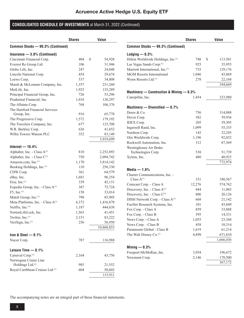|                                               | <b>Shares</b> | Value        |
|-----------------------------------------------|---------------|--------------|
| Common Stocks - 99.3% (Continued)             |               |              |
| Insurance $-3.8%$ (Continued)                 |               |              |
| Cincinnati Financial Corp.                    | 404           | \$<br>54,928 |
| Everest Re Group Ltd.                         | 106           | 31,946       |
| Globe Life, Inc.                              | 247           | 24,848       |
| Lincoln National Corp.                        | 454           | 29,674       |
| Loews Corp.                                   | 537           | 34,808       |
| Marsh & McLennan Company, Inc.                | 1,357         | 231,260      |
| MetLife, Inc.                                 | 1,925         | 135,289      |
| Principal Financial Group, Inc.               | 726           | 53,296       |
| Prudential Financial, Inc.                    | 1,018         | 120,297      |
| The Allstate Corp.                            | 768           | 106,376      |
| The Hartford Financial Services               |               |              |
| Group, Inc.                                   | 916           | 65,778       |
| The Progressive Corp.                         | 1,572         | 179,192      |
| The Travelers Company, Inc.                   | 677           | 123,708      |
| W.R. Berkley Corp.                            | 626           | 41,652       |
| Willis Towers Watson PLC                      | 352           | 83,149       |
|                                               |               | 3,919,699    |
| Internet $-10.4%$                             |               |              |
| Alphabet, Inc. - Class A <sup>(1)</sup>       | 810           | 2,252,893    |
| Alphabet, Inc. - Class C <sup>(1)</sup>       | 750           | 2,094,742    |
| Amazon.com, Inc.(1)                           | 1,170         | 3,814,142    |
| Booking Holdings, Inc.(1)                     | 110           | 258,330      |
| CDW Corp.                                     | 361           | 64,579       |
| eBay, Inc.                                    | 1,681         | 96,254       |
| Etsy, Inc. $(1)$                              | 339           | 42,131       |
| Expedia Group, Inc. - Class $A^{(1)}$         | 387           | 75,724       |
| $F5$ , Inc. <sup>(1)</sup>                    | 158           | 33,014       |
| Match Group, Inc.(1)                          | 790           | 85,905       |
| Meta Platforms, Inc. - Class A <sup>(1)</sup> | 6,372         | 1,416,878    |
| Netflix, Inc. <sup>(1)</sup>                  | 1,187         | 444,638      |
| NortonLifeLock, Inc.                          | 1,563         | 41,451       |
| Twitter, Inc.(1)                              | 2,151         | 83,222       |
| VeriSign, Inc. <sup>(1)</sup>                 | 256           | 56,950       |
|                                               |               | 10,860,853   |
|                                               |               |              |
| Iron & Steel $-0.1%$                          |               |              |
| Nucor Corp.                                   | 787           | 116,988      |
| Leisure Time $-0.1%$                          |               |              |
| Carnival Corp. <sup>(1)</sup>                 | 2,164         | 43,756       |
| Norwegian Cruise Line                         |               |              |
| Holdings Ltd.(1)                              | 985           | 21,552       |
| Royal Caribbean Cruises Ltd. <sup>(1)</sup>   | 604           | 50,603       |
|                                               |               | 115,911      |

|                                                | <b>Shares</b> | <b>Value</b>  |
|------------------------------------------------|---------------|---------------|
| Common Stocks - 99.3% (Continued)              |               |               |
| Lodging $-0.3%$                                |               |               |
| Hilton Worldwide Holdings, Inc. <sup>(1)</sup> | 748           | \$<br>113,501 |
| Las Vegas Sands Corp. <sup>(1)</sup>           | 925           | 35,955        |
| Marriott International, Inc. <sup>(1)</sup>    | 735           | 129,176       |
| <b>MGM Resorts International</b>               | 1,046         | 43,869        |
| Wynn Resorts Ltd. <sup>(1)</sup>               | 278           | 22,168        |
|                                                |               | 344,669       |
| Machinery — Construction & Mining — $0.3\%$    |               |               |
| Caterpillar, Inc.                              | 1,454         | 323,980       |
| Machinery — Diversified — $0.7\%$              |               |               |
| Deere & Co.                                    | 756           | 314,088       |
| Dover Corp.                                    | 382           | 59,936        |
| <b>IDEX Corp.</b>                              | 205           | 39,305        |
| Ingersoll Rand, Inc.                           | 1,099         | 55,335        |
| Nordson Corp.                                  | 142           | 32,245        |
| Otis Worldwide Corp.                           | 1,196         | 92,032        |
| Rockwell Automation, Inc.                      | 312           | 87,369        |
| Westinghouse Air Brake                         |               |               |
| Technologies Corp.                             | 538           | 51,739        |
| Xylem, Inc.                                    | 480           | 40,925        |
| Media — 1.6%                                   |               | 772,974       |
| Charter Communications, Inc. -                 |               |               |
| Class $A^{(1)}$                                | 331           | 180,567       |
| Comcast Corp. - Class A                        | 12,276        | 574,762       |
| Discovery, Inc. - Class A <sup>(1)</sup>       | 444           | 11,065        |
| Discovery, Inc. - Class C <sup>(1)</sup>       | 806           | 20,126        |
| DISH Network Corp. - Class A <sup>(1)</sup>    | 668           | 21,142        |
| FactSet Research Systems, Inc.                 | 101           | 43,849        |
| Fox Corp. - Class A                            | 859           | 33,888        |
| Fox Corp. - Class B                            | 395           | 14,331        |
| News Corp. - Class A                           | 1,055         | 23,368        |
| News Corp. - Class B                           | 458           | 10,314        |
| Paramount Global - Class B                     | 1,619         | 61,214        |
| The Walt Disney Co. <sup>(1)</sup>             | 4,898         | 671,810       |
|                                                |               | 1,666,436     |
| Mining $-0.3%$                                 |               |               |
| Freeport-McMoRan, Inc.                         | 3,954         | 196,672       |
| Newmont Corp.                                  | 2,146         | 170,500       |
|                                                |               | 367,172       |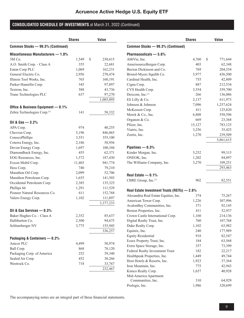| Common Stocks - 99.3% (Continued)<br>Miscellaneous Manufacturers - 1.0%<br>3M Co.<br>\$<br>1,549<br>230,615<br>A.O. Smith Corp. - Class A<br>355<br>22,681<br>162,231<br>Eaton Corp PLC<br>1,069<br>General Electric Co.<br>2,956<br>270,474<br>Illinois Tool Works, Inc.<br>765<br>160,191<br>Parker-Hannifin Corp.<br>345<br>97,897<br>588<br>43,736<br>Textron, Inc.<br>Trane Technologies PLC<br>637<br>97,270<br>1,085,095<br>Office & Business Equipment - 0.1%<br>Zebra Technologies Corp.(1)<br>141<br>58,332<br>Oil & Gas $-3.2%$<br>APA Corp.<br>40,255<br>974<br>5,196<br>846,065<br>Chevron Corp.<br>ConocoPhillips<br>3,551<br>355,100<br>Coterra Energy, Inc.<br>2,186<br>58,956<br>Devon Energy Corp.<br>1,697<br>100,344<br>Diamondback Energy, Inc.<br>455<br>62,371<br>EOG Resources, Inc.<br>187,430<br>1,572<br>Exxon Mobil Corp.<br>11,403<br>941,774<br>740<br>79,210<br>Hess Corp.<br>Marathon Oil Corp.<br>2,099<br>52,706<br>Marathon Petroleum Corp.<br>1,655<br>141,503<br>Occidental Petroleum Corp.<br>2,385<br>135,325<br>Phillips 66<br>1,291<br>111,529<br>Pioneer Natural Resources Co.<br>611<br>152,768<br>1,102<br>Valero Energy Corp.<br>111,897<br>3,377,233<br>Oil & Gas Services $-$ 0.3%<br>Baker Hughes Co. - Class A<br>2,352<br>85,637<br>Halliburton Co.<br>2,500<br>94,675<br>Schlumberger NV<br>3,775<br>155,945<br>336,257<br>Packaging & Containers - 0.2%<br>Amcor PLC<br>4,499<br>50,974<br>Ball Corp.<br>868<br>78,120<br>Packaging Corp. of America<br>252<br>39,340<br>Sealed Air Corp.<br>452<br>30,266<br>Westrock Co.<br>718<br>33,767<br>232,467 | <b>Shares</b> | Value |
|------------------------------------------------------------------------------------------------------------------------------------------------------------------------------------------------------------------------------------------------------------------------------------------------------------------------------------------------------------------------------------------------------------------------------------------------------------------------------------------------------------------------------------------------------------------------------------------------------------------------------------------------------------------------------------------------------------------------------------------------------------------------------------------------------------------------------------------------------------------------------------------------------------------------------------------------------------------------------------------------------------------------------------------------------------------------------------------------------------------------------------------------------------------------------------------------------------------------------------------------------------------------------------------------------------------------------------------------------------------------------------------------------------------------------------------------------------------------------------------------------------------------------------------------------------------------------------------------------------|---------------|-------|
|                                                                                                                                                                                                                                                                                                                                                                                                                                                                                                                                                                                                                                                                                                                                                                                                                                                                                                                                                                                                                                                                                                                                                                                                                                                                                                                                                                                                                                                                                                                                                                                                            |               |       |
|                                                                                                                                                                                                                                                                                                                                                                                                                                                                                                                                                                                                                                                                                                                                                                                                                                                                                                                                                                                                                                                                                                                                                                                                                                                                                                                                                                                                                                                                                                                                                                                                            |               |       |
|                                                                                                                                                                                                                                                                                                                                                                                                                                                                                                                                                                                                                                                                                                                                                                                                                                                                                                                                                                                                                                                                                                                                                                                                                                                                                                                                                                                                                                                                                                                                                                                                            |               |       |
|                                                                                                                                                                                                                                                                                                                                                                                                                                                                                                                                                                                                                                                                                                                                                                                                                                                                                                                                                                                                                                                                                                                                                                                                                                                                                                                                                                                                                                                                                                                                                                                                            |               |       |
|                                                                                                                                                                                                                                                                                                                                                                                                                                                                                                                                                                                                                                                                                                                                                                                                                                                                                                                                                                                                                                                                                                                                                                                                                                                                                                                                                                                                                                                                                                                                                                                                            |               |       |
|                                                                                                                                                                                                                                                                                                                                                                                                                                                                                                                                                                                                                                                                                                                                                                                                                                                                                                                                                                                                                                                                                                                                                                                                                                                                                                                                                                                                                                                                                                                                                                                                            |               |       |
|                                                                                                                                                                                                                                                                                                                                                                                                                                                                                                                                                                                                                                                                                                                                                                                                                                                                                                                                                                                                                                                                                                                                                                                                                                                                                                                                                                                                                                                                                                                                                                                                            |               |       |
|                                                                                                                                                                                                                                                                                                                                                                                                                                                                                                                                                                                                                                                                                                                                                                                                                                                                                                                                                                                                                                                                                                                                                                                                                                                                                                                                                                                                                                                                                                                                                                                                            |               |       |
|                                                                                                                                                                                                                                                                                                                                                                                                                                                                                                                                                                                                                                                                                                                                                                                                                                                                                                                                                                                                                                                                                                                                                                                                                                                                                                                                                                                                                                                                                                                                                                                                            |               |       |
|                                                                                                                                                                                                                                                                                                                                                                                                                                                                                                                                                                                                                                                                                                                                                                                                                                                                                                                                                                                                                                                                                                                                                                                                                                                                                                                                                                                                                                                                                                                                                                                                            |               |       |
|                                                                                                                                                                                                                                                                                                                                                                                                                                                                                                                                                                                                                                                                                                                                                                                                                                                                                                                                                                                                                                                                                                                                                                                                                                                                                                                                                                                                                                                                                                                                                                                                            |               |       |
|                                                                                                                                                                                                                                                                                                                                                                                                                                                                                                                                                                                                                                                                                                                                                                                                                                                                                                                                                                                                                                                                                                                                                                                                                                                                                                                                                                                                                                                                                                                                                                                                            |               |       |
|                                                                                                                                                                                                                                                                                                                                                                                                                                                                                                                                                                                                                                                                                                                                                                                                                                                                                                                                                                                                                                                                                                                                                                                                                                                                                                                                                                                                                                                                                                                                                                                                            |               |       |
|                                                                                                                                                                                                                                                                                                                                                                                                                                                                                                                                                                                                                                                                                                                                                                                                                                                                                                                                                                                                                                                                                                                                                                                                                                                                                                                                                                                                                                                                                                                                                                                                            |               |       |
|                                                                                                                                                                                                                                                                                                                                                                                                                                                                                                                                                                                                                                                                                                                                                                                                                                                                                                                                                                                                                                                                                                                                                                                                                                                                                                                                                                                                                                                                                                                                                                                                            |               |       |
|                                                                                                                                                                                                                                                                                                                                                                                                                                                                                                                                                                                                                                                                                                                                                                                                                                                                                                                                                                                                                                                                                                                                                                                                                                                                                                                                                                                                                                                                                                                                                                                                            |               |       |
|                                                                                                                                                                                                                                                                                                                                                                                                                                                                                                                                                                                                                                                                                                                                                                                                                                                                                                                                                                                                                                                                                                                                                                                                                                                                                                                                                                                                                                                                                                                                                                                                            |               |       |
|                                                                                                                                                                                                                                                                                                                                                                                                                                                                                                                                                                                                                                                                                                                                                                                                                                                                                                                                                                                                                                                                                                                                                                                                                                                                                                                                                                                                                                                                                                                                                                                                            |               |       |
|                                                                                                                                                                                                                                                                                                                                                                                                                                                                                                                                                                                                                                                                                                                                                                                                                                                                                                                                                                                                                                                                                                                                                                                                                                                                                                                                                                                                                                                                                                                                                                                                            |               |       |
|                                                                                                                                                                                                                                                                                                                                                                                                                                                                                                                                                                                                                                                                                                                                                                                                                                                                                                                                                                                                                                                                                                                                                                                                                                                                                                                                                                                                                                                                                                                                                                                                            |               |       |
|                                                                                                                                                                                                                                                                                                                                                                                                                                                                                                                                                                                                                                                                                                                                                                                                                                                                                                                                                                                                                                                                                                                                                                                                                                                                                                                                                                                                                                                                                                                                                                                                            |               |       |
|                                                                                                                                                                                                                                                                                                                                                                                                                                                                                                                                                                                                                                                                                                                                                                                                                                                                                                                                                                                                                                                                                                                                                                                                                                                                                                                                                                                                                                                                                                                                                                                                            |               |       |
|                                                                                                                                                                                                                                                                                                                                                                                                                                                                                                                                                                                                                                                                                                                                                                                                                                                                                                                                                                                                                                                                                                                                                                                                                                                                                                                                                                                                                                                                                                                                                                                                            |               |       |
|                                                                                                                                                                                                                                                                                                                                                                                                                                                                                                                                                                                                                                                                                                                                                                                                                                                                                                                                                                                                                                                                                                                                                                                                                                                                                                                                                                                                                                                                                                                                                                                                            |               |       |
|                                                                                                                                                                                                                                                                                                                                                                                                                                                                                                                                                                                                                                                                                                                                                                                                                                                                                                                                                                                                                                                                                                                                                                                                                                                                                                                                                                                                                                                                                                                                                                                                            |               |       |
|                                                                                                                                                                                                                                                                                                                                                                                                                                                                                                                                                                                                                                                                                                                                                                                                                                                                                                                                                                                                                                                                                                                                                                                                                                                                                                                                                                                                                                                                                                                                                                                                            |               |       |
|                                                                                                                                                                                                                                                                                                                                                                                                                                                                                                                                                                                                                                                                                                                                                                                                                                                                                                                                                                                                                                                                                                                                                                                                                                                                                                                                                                                                                                                                                                                                                                                                            |               |       |
|                                                                                                                                                                                                                                                                                                                                                                                                                                                                                                                                                                                                                                                                                                                                                                                                                                                                                                                                                                                                                                                                                                                                                                                                                                                                                                                                                                                                                                                                                                                                                                                                            |               |       |
|                                                                                                                                                                                                                                                                                                                                                                                                                                                                                                                                                                                                                                                                                                                                                                                                                                                                                                                                                                                                                                                                                                                                                                                                                                                                                                                                                                                                                                                                                                                                                                                                            |               |       |
|                                                                                                                                                                                                                                                                                                                                                                                                                                                                                                                                                                                                                                                                                                                                                                                                                                                                                                                                                                                                                                                                                                                                                                                                                                                                                                                                                                                                                                                                                                                                                                                                            |               |       |
|                                                                                                                                                                                                                                                                                                                                                                                                                                                                                                                                                                                                                                                                                                                                                                                                                                                                                                                                                                                                                                                                                                                                                                                                                                                                                                                                                                                                                                                                                                                                                                                                            |               |       |
|                                                                                                                                                                                                                                                                                                                                                                                                                                                                                                                                                                                                                                                                                                                                                                                                                                                                                                                                                                                                                                                                                                                                                                                                                                                                                                                                                                                                                                                                                                                                                                                                            |               |       |
|                                                                                                                                                                                                                                                                                                                                                                                                                                                                                                                                                                                                                                                                                                                                                                                                                                                                                                                                                                                                                                                                                                                                                                                                                                                                                                                                                                                                                                                                                                                                                                                                            |               |       |
|                                                                                                                                                                                                                                                                                                                                                                                                                                                                                                                                                                                                                                                                                                                                                                                                                                                                                                                                                                                                                                                                                                                                                                                                                                                                                                                                                                                                                                                                                                                                                                                                            |               |       |
|                                                                                                                                                                                                                                                                                                                                                                                                                                                                                                                                                                                                                                                                                                                                                                                                                                                                                                                                                                                                                                                                                                                                                                                                                                                                                                                                                                                                                                                                                                                                                                                                            |               |       |
|                                                                                                                                                                                                                                                                                                                                                                                                                                                                                                                                                                                                                                                                                                                                                                                                                                                                                                                                                                                                                                                                                                                                                                                                                                                                                                                                                                                                                                                                                                                                                                                                            |               |       |
|                                                                                                                                                                                                                                                                                                                                                                                                                                                                                                                                                                                                                                                                                                                                                                                                                                                                                                                                                                                                                                                                                                                                                                                                                                                                                                                                                                                                                                                                                                                                                                                                            |               |       |
|                                                                                                                                                                                                                                                                                                                                                                                                                                                                                                                                                                                                                                                                                                                                                                                                                                                                                                                                                                                                                                                                                                                                                                                                                                                                                                                                                                                                                                                                                                                                                                                                            |               |       |
|                                                                                                                                                                                                                                                                                                                                                                                                                                                                                                                                                                                                                                                                                                                                                                                                                                                                                                                                                                                                                                                                                                                                                                                                                                                                                                                                                                                                                                                                                                                                                                                                            |               |       |
|                                                                                                                                                                                                                                                                                                                                                                                                                                                                                                                                                                                                                                                                                                                                                                                                                                                                                                                                                                                                                                                                                                                                                                                                                                                                                                                                                                                                                                                                                                                                                                                                            |               |       |
|                                                                                                                                                                                                                                                                                                                                                                                                                                                                                                                                                                                                                                                                                                                                                                                                                                                                                                                                                                                                                                                                                                                                                                                                                                                                                                                                                                                                                                                                                                                                                                                                            |               |       |
|                                                                                                                                                                                                                                                                                                                                                                                                                                                                                                                                                                                                                                                                                                                                                                                                                                                                                                                                                                                                                                                                                                                                                                                                                                                                                                                                                                                                                                                                                                                                                                                                            |               |       |
|                                                                                                                                                                                                                                                                                                                                                                                                                                                                                                                                                                                                                                                                                                                                                                                                                                                                                                                                                                                                                                                                                                                                                                                                                                                                                                                                                                                                                                                                                                                                                                                                            |               |       |

|                                              | <b>Shares</b> | Value         |
|----------------------------------------------|---------------|---------------|
| Common Stocks - 99.3% (Continued)            |               |               |
| Pharmaceuticals - 5.6%                       |               |               |
| AbbVie, Inc.                                 | 4,760         | \$<br>771,644 |
| AmerisourceBergen Corp.                      | 403           | 62,348        |
| Becton Dickinson and Co.                     | 769           | 204,554       |
| Bristol-Myers Squibb Co.                     | 5,977         | 436,500       |
| Cardinal Health, Inc.                        | 755           | 42,809        |
| Cigna Corp.                                  | 887           | 212,534       |
| CVS Health Corp.                             | 3,554         | 359,700       |
| Dexcom, Inc. <sup>(1)</sup>                  | 266           | 136,086       |
| Eli Lilly & Co.                              | 2,137         | 611,973       |
| Johnson & Johnson                            | 7,096         | 1,257,624     |
| McKesson Corp.                               | 411           | 125,820       |
| Merck & Co., Inc.                            | 6,808         | 558,596       |
| Organon & Co.                                | 669           | 23,368        |
| Pfizer, Inc.                                 | 15,127        | 783,125       |
| Viatris, Inc.                                | 3,256         | 35,425        |
| Zoetis, Inc.                                 | 1,270         | 239,509       |
|                                              |               | 5,861,615     |
| Pipelines $-0.3%$                            |               |               |
| Kinder Morgan, Inc.                          | 5,252         | 99,315        |
| ONEOK, Inc.                                  | 1,202         | 84,897        |
| The Williams Company, Inc.                   | 3,270         | 109,251       |
|                                              |               | 293,463       |
|                                              |               |               |
| Real Estate $-0.1%$                          |               |               |
| CBRE Group, Inc.(1)                          | 902           | 82,551        |
| Real Estate Investment Trusts (REITs) - 2.6% |               |               |
| Alexandria Real Estate Equities, Inc.        | 374           | 75,267        |
| American Tower Corp.                         | 1,226         | 307,996       |
| AvalonBay Communities, Inc.                  | 371           | 92,145        |
| Boston Properties, Inc.                      | 411           | 52,937        |
| Crown Castle International Corp.             | 1,160         | 214,136       |
| Digital Realty Trust, Inc.                   | 760           | 107,768       |
| Duke Realty Corp.                            | 1,102         | 63,982        |
| Equinix, Inc.                                | 240           | 177,989       |
| <b>Equity Residential</b>                    | 918           | 82,547        |
| Essex Property Trust, Inc.                   | 184           | 63,568        |
| Extra Space Storage, Inc.                    | 357           | 73,399        |
| Federal Realty Investment Trust              | 182           | 22,217        |
| Healthpeak Properties, Inc.                  | 1,449         | 49,744        |
| Host Hotels & Resorts, Inc.                  | 1,923         | 37,364        |
| Iron Mountain, Inc.                          | 775           | 42,943        |
| Kimco Realty Corp.                           | 1,657         | 40,928        |
| Mid-America Apartment                        |               |               |
| Communities, Inc.                            | 310           | 64,929        |
| Prologis, Inc.                               | 1,986         | 320,699       |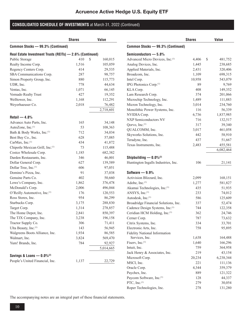|                                                          | <b>Shares</b> | <b>Value</b> |
|----------------------------------------------------------|---------------|--------------|
| Common Stocks - 99.3% (Continued)                        |               |              |
| Real Estate Investment Trusts (REITs) - 2.6% (Continued) |               |              |
| Public Storage                                           | 410<br>\$     | 160,015      |
| Realty Income Corp.                                      | 1,516         | 105,059      |
| Regency Centers Corp.                                    | 414           | 29,535       |
| SBA Communications Corp.                                 | 287           | 98,757       |
| Simon Property Group, Inc.                               | 880           | 115,773      |
| UDR, Inc.                                                | 778           | 44,634       |
| Ventas, Inc.                                             | 1,071         | 66,145       |
| Vornado Realty Trust                                     | 427           | 19,352       |
| Welltower, Inc.                                          | 1,168         | 112,291      |
| Weyerhaeuser Co.                                         | 2,018         | 76,482       |
|                                                          |               | 2,718,601    |
| Retail $-4.8%$                                           |               |              |
| Advance Auto Parts, Inc.                                 | 165           | 34,148       |
| AutoZone, Inc. <sup>(1)</sup>                            | 53            | 108,363      |
| Bath & Body Works, Inc.(1)                               | 712           | 34,034       |
| Best Buy Co., Inc.                                       | 628           | 57,085       |
| CarMax, Inc. <sup>(1)</sup>                              | 434           | 41,872       |
| Chipotle Mexican Grill, Inc. <sup>(1)</sup>              | 73            | 115,488      |
| Costco Wholesale Corp.                                   | 1,185         | 682,382      |
| Darden Restaurants, Inc.                                 | 346           | 46,001       |
| Dollar General Corp.                                     | 627           | 139,589      |
| Dollar Tree, Inc. <sup>(1)</sup>                         | 606           | 97,051       |
| Domino's Pizza, Inc.                                     | 91            | 37,038       |
| Genuine Parts Co.                                        | 402           | 50,660       |
| Lowe's Company, Inc.                                     | 1,862         | 376,478      |
| McDonald's Corp.                                         | 2,006         | 496,044      |
| O'Reilly Automotive, Inc. <sup>(1)</sup>                 | 176           | 120,553      |
| Ross Stores, Inc.                                        | 954           | 86,299       |
| Starbucks Corp.                                          | 3,175         | 288,830      |
| Target Corp.                                             | 1,314         | 278,857      |
| The Home Depot, Inc.                                     | 2,841         | 850,397      |
| The TJX Company, Inc.                                    | 3,238         | 196,158      |
| Tractor Supply Co.                                       | 306           | 71,411       |
| Ulta Beauty, Inc.(1)                                     | 143           | 56,945       |
| Walgreens Boots Alliance, Inc.                           | 1,934         | 86,585       |
| Walmart, Inc.                                            | 3,824         | 569,470      |
| Yum! Brands, Inc.                                        | 784           | 92,927       |
|                                                          |               | 5,014,665    |
| Savings & Loans $- 0.0\%$ <sup>(2)</sup>                 |               |              |
| People's United Financial, Inc.                          | 1,137         | 22,729       |
|                                                          |               |              |

|                                           | <b>Shares</b> | <b>Value</b>  |
|-------------------------------------------|---------------|---------------|
| Common Stocks - 99.3% (Continued)         |               |               |
| Semiconductors — 5.8%                     |               |               |
| Advanced Micro Devices, Inc.(1)           | 4,406         | \$<br>481,752 |
| Analog Devices, Inc.                      | 1,445         | 238,685       |
| Applied Materials, Inc.                   | 2,431         | 320,406       |
| Broadcom, Inc.                            | 1,109         | 698,315       |
| Intel Corp.                               | 10,958        | 543,079       |
| IPG Photonics Corp. <sup>(1)</sup>        | 89            | 9,769         |
| KLA Corp.                                 | 408           | 149,352       |
| Lam Research Corp.                        | 374           | 201,066       |
| Microchip Technology, Inc.                | 1,489         | 111,883       |
| Micron Technology, Inc.                   | 3,014         | 234,760       |
| Monolithic Power Systems, Inc.            | 116           | 56,339        |
| NVIDIA Corp.                              | 6,736         | 1,837,985     |
| <b>NXP Semiconductors NV</b>              | 716           | 132,517       |
| Qorvo, Inc. <sup>(1)</sup>                | 317           | 39,340        |
| QUALCOMM, Inc.                            | 3,017         | 461,058       |
| Skyworks Solutions, Inc.                  | 442           | 58,910        |
| Teradyne, Inc.                            | 437           | 51,667        |
| Texas Instruments, Inc.                   | 2,483         | 455,581       |
|                                           |               | 6,082,464     |
|                                           |               |               |
| Shipbuilding $-0.0\%$ <sup>(2)</sup>      |               |               |
| Huntington Ingalls Industries, Inc.       | 106           | 21,141        |
| Software - 9.9%                           |               |               |
| Activision Blizzard, Inc.                 | 2,099         | 168,151       |
| Adobe, Inc. <sup>(1)</sup>                | 1,277         | 581,827       |
| Akamai Technologies, Inc.(1)              | 435           | 51,935        |
| ANSYS, Inc. <sup>(1)</sup>                | 233           | 74,012        |
| Autodesk, Inc. <sup>(1)</sup>             | 586           | 125,609       |
| Broadridge Financial Solutions, Inc.      | 337           | 52,474        |
| Cadence Design Systems, Inc.(1)           | 744           | 122,358       |
| Ceridian HCM Holding, Inc. <sup>(1)</sup> | 362           | 24,746        |
| Cerner Corp.                              | 787           | 73,632        |
| Citrix Systems, Inc.                      | 334           | 33,701        |
| Electronic Arts, Inc.                     | 758           | 95,895        |
| <b>Fidelity National Information</b>      |               |               |
| Services, Inc.                            | 1,638         | 164,488       |
| Fiserv, Inc. <sup>(1)</sup>               | 1,640         | 166,296       |
| Intuit, Inc.                              | 759           | 364,958       |
| Jack Henry & Associates, Inc.             | 219           | 43,154        |
| Microsoft Corp.                           | 20,234        | 6,238,344     |
| MSCI, Inc.                                | 221           | 111,136       |
| Oracle Corp.                              | 4,344         | 359,379       |
| Paychex, Inc.                             | 889           | 121,322       |
| Paycom Software, Inc.(1)                  | 128           | 44,337        |
| PTC, Inc. $(1)$                           | 279           | 30,054        |
| Roper Technologies, Inc.                  | 278           | 131,280       |
|                                           |               |               |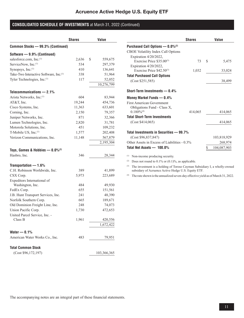|                                                        | <b>Shares</b> | Value         |
|--------------------------------------------------------|---------------|---------------|
| Common Stocks - 99.3% (Continued)                      |               |               |
| Software - 9.9% (Continued)                            |               |               |
| salesforce.com, Inc.(1)                                | 2,636         | \$<br>559,675 |
| ServiceNow, Inc.(1)                                    | 534           | 297,379       |
| Synopsys, Inc. <sup>(1)</sup>                          | 410           | 136,641       |
| Take-Two Interactive Software, Inc. <sup>(1)</sup>     | 338           | 51,964        |
| Tyler Technologies, Inc. <sup>(1)</sup>                | 117           | 52,052        |
|                                                        |               | 10,276,799    |
| Telecommunications $-2.1%$                             |               |               |
| Arista Networks, Inc.(1)                               | 604           | 83,944        |
| AT&T, Inc.                                             | 19,244        | 454,736       |
| Cisco Systems, Inc.                                    | 11,363        | 633,601       |
| Corning, Inc.                                          | 2,150         | 79,357        |
| Juniper Networks, Inc.                                 | 871           | 32,366        |
| Lumen Technologies, Inc.                               | 2,820         | 31,781        |
| Motorola Solutions, Inc.                               | 451           | 109,232       |
| T-Mobile US, Inc. <sup>(1)</sup>                       | 1,577         | 202,408       |
| Verizon Communications, Inc.                           | 11,148        | 567,879       |
|                                                        |               | 2,195,304     |
| Toys, Games & Hobbies - 0.0% <sup>(2)</sup>            |               |               |
| Hasbro, Inc.                                           | 346           | 28,344        |
|                                                        |               |               |
| Transportation - 1.6%<br>C.H. Robinson Worldwide, Inc. | 389           |               |
| CSX Corp.                                              |               | 41,899        |
| Expeditors International of                            | 5,973         | 223,689       |
| Washington, Inc.                                       | 484           | 49,930        |
| FedEx Corp.                                            | 655           | 151,561       |
| J.B. Hunt Transport Services, Inc.                     | 241           | 48,390        |
| Norfolk Southern Corp.                                 | 665           | 189,671       |
| Old Dominion Freight Line, Inc.                        | 248           | 74,073        |
| Union Pacific Corp.                                    | 1,730         | 472,653       |
| United Parcel Service, Inc. -                          |               |               |
| Class B                                                | 1,961         | 420,556       |
|                                                        |               | 1,672,422     |
| Water $-0.1%$                                          |               |               |
| American Water Works Co., Inc.                         | 483           | 79,951        |
| <b>Total Common Stock</b>                              |               |               |
| (Cost \$96,172,197)                                    |               | 103,366,365   |

|                                              | <b>Shares</b> |     | Value       |
|----------------------------------------------|---------------|-----|-------------|
| Purchased Call Options $-$ 0.0% $(2)$        |               |     |             |
| CBOE Volatility Index Call Options           |               |     |             |
| Expiration $4/20/2022$ ,                     |               |     |             |
| Exercise Price $$35.00^{(3)}$                | 73            | \$. | 5,475       |
| Expiration 4/20/2022,                        |               |     |             |
| Exercise Price $$42.50^{(3)}$                | 1,032         |     | 33,024      |
| <b>Total Purchased Call Options</b>          |               |     |             |
| (Cost \$251,585)                             |               |     | 38,499      |
| Short-Term Investments - 0.4%                |               |     |             |
| Money Market Funds — 0.4%                    |               |     |             |
| First American Government                    |               |     |             |
| Obligations Fund - Class X,                  |               |     |             |
| $0.180\%^{(4)}$                              | 414,065       |     | 414,065     |
| <b>Total Short-Term Investments</b>          |               |     |             |
| (Cost \$414,065)                             |               |     | 414,065     |
| Total Investments in Securities - 99.7%      |               |     |             |
| (Cost \$96,837,847)                          |               |     | 103,818,929 |
| Other Assets in Excess of Liabilities - 0.3% |               |     | 268,974     |
| Total Net Assets $-$ 100.0%                  |               | \$  | 104,087,903 |

(1) Non-income producing security.

(2) Does not round to  $0.1\%$  or  $(0.1)\%$ , as applicable.

(3) The investment is a holding of Toroso Cayman Subsidiary I, a wholly-owned subsidary of Acruence Active Hedge U.S. Equity ETF.

(4) The rate shown is the annualized seven-day effective yield as of March 31, 2022.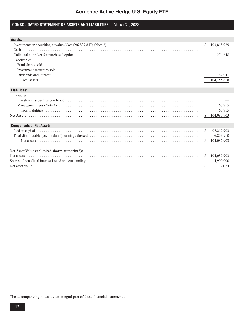### **CONSOLIDATED STATEMENT OF ASSETS AND LIABILITIES** at March 31, 2022

| Assets:                                                                                                                                                  |               |               |
|----------------------------------------------------------------------------------------------------------------------------------------------------------|---------------|---------------|
|                                                                                                                                                          | S.            | 103,818,929   |
|                                                                                                                                                          |               |               |
|                                                                                                                                                          |               | 274,648       |
| Receivables:                                                                                                                                             |               |               |
|                                                                                                                                                          |               |               |
| Investment securities sold $\ldots$ $\ldots$ $\ldots$ $\ldots$ $\ldots$ $\ldots$ $\ldots$ $\ldots$ $\ldots$ $\ldots$ $\ldots$ $\ldots$ $\ldots$ $\ldots$ |               |               |
|                                                                                                                                                          |               | 62,041        |
|                                                                                                                                                          |               | 104,155,618   |
| Liabilities:                                                                                                                                             |               |               |
| Payables:                                                                                                                                                |               |               |
|                                                                                                                                                          |               |               |
|                                                                                                                                                          |               | 67,715        |
|                                                                                                                                                          |               | 67,715        |
|                                                                                                                                                          |               | \$104,087,903 |
| <b>Components of Net Assets:</b>                                                                                                                         |               |               |
|                                                                                                                                                          | <sup>\$</sup> | 97,217,993    |
|                                                                                                                                                          |               | 6,869,910     |
|                                                                                                                                                          |               | \$104,087,903 |
| <b>Net Asset Value (unlimited shares authorized):</b>                                                                                                    |               |               |
|                                                                                                                                                          | S.            | 104,087,903   |
|                                                                                                                                                          |               | 4,900,000     |
|                                                                                                                                                          | \$            | 21.24         |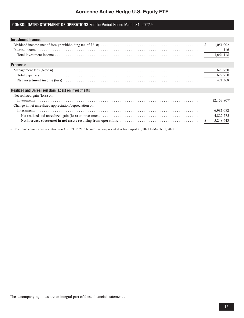# **CONSOLIDATED STATEMENT OF OPERATIONS** For the Period Ended March 31, 2022(1)

| <b>Investment Income:</b>                                 |   |             |
|-----------------------------------------------------------|---|-------------|
|                                                           | S | 1,051,002   |
|                                                           |   | 116         |
|                                                           |   | 1,051,118   |
|                                                           |   |             |
| <b>Expenses:</b>                                          |   |             |
|                                                           |   | 629,750     |
|                                                           |   | 629,750     |
|                                                           |   | 421,368     |
|                                                           |   |             |
| <b>Realized and Unrealized Gain (Loss) on Investments</b> |   |             |
| Net realized gain (loss) on:                              |   |             |
|                                                           |   | (2,153,807) |
| Change in net unrealized appreciation/depreciation on:    |   |             |
|                                                           |   | 6,981,082   |
|                                                           |   | 4,827,275   |
|                                                           |   | 5,248,643   |
|                                                           |   |             |

(1) The Fund commenced operations on April 21, 2021. The information presented is from April 21, 2021 to March 31, 2022.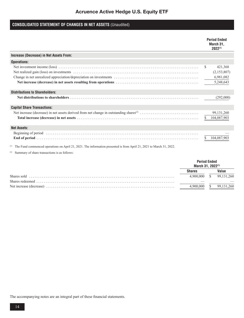# Acruence Active Hedge U.S. Equity ETF

# **CONSOLIDATED STATEMENT OF CHANGES IN NET ASSETS** (Unaudited)

|                                         | <b>Period Ended</b><br>March 31,<br>$2022^{(1)}$       |
|-----------------------------------------|--------------------------------------------------------|
| Increase (Decrease) in Net Assets From: |                                                        |
| <b>Operations:</b>                      |                                                        |
|                                         | \$<br>421,368<br>(2,153,807)<br>6,981,082<br>5,248,643 |
| <b>Distributions to Shareholders:</b>   |                                                        |
|                                         | (292,000)                                              |
| <b>Capital Share Transactions:</b>      |                                                        |
|                                         | 99, 131, 260<br>104,087,903                            |
| <b>Net Assets:</b>                      |                                                        |
|                                         |                                                        |

(1) The Fund commenced operations on April 21, 2021. The information presented is from April 21, 2021 to March 31, 2022.

(2) Summary of share transactions is as follows:

|             |         | <b>Period Ended</b><br>March 31, 2022 <sup>(1)</sup> |
|-------------|---------|------------------------------------------------------|
|             |         |                                                      |
| Shares sold | 900 000 | 99.131.260                                           |
|             |         |                                                      |
|             |         | 99.131.260                                           |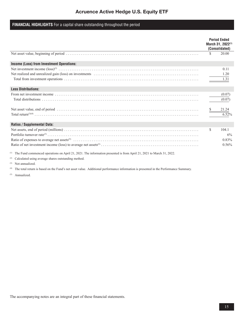# Acruence Active Hedge U.S. Equity ETF

### **FINANCIAL HIGHLIGHTS** For a capital share outstanding throughout the period

|                                           |     | <b>Period Ended</b><br>March 31, 2022 <sup>(1)</sup><br>(Consolidated) |
|-------------------------------------------|-----|------------------------------------------------------------------------|
|                                           |     | 20.00                                                                  |
| Income (Loss) from Investment Operations: |     |                                                                        |
|                                           |     | 0.11<br>1.20<br>1.31                                                   |
| <b>Less Distributions:</b>                |     |                                                                        |
|                                           |     | (0.07)<br>(0.07)                                                       |
|                                           |     | 21.24<br>6.52%                                                         |
| <b>Ratios / Supplemental Data:</b>        |     |                                                                        |
|                                           | \$. | 104.1<br>6%<br>0.83%<br>0.56%                                          |

(1) The Fund commenced operations on April 21, 2021. The information presented is from April 21, 2021 to March 31, 2022.

(2) Calculated using average shares outstanding method.

(3) Not annualized.

(4) The total return is based on the Fund's net asset value. Additional performance information is presented in the Performance Summary.

(5) Annualized.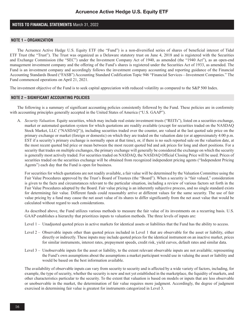### **NOTES TO FINANCIAL STATEMENTS** March 31, 2022

### **NOTE 1 – ORGANIZATION**

The Acruence Active Hedge U.S. Equity ETF (the "Fund") is a non-diversified series of shares of beneficial interest of Tidal ETF Trust (the "Trust"). The Trust was organized as a Delaware statutory trust on June 4, 2018 and is registered with the Securities and Exchange Commission (the "SEC") under the Investment Company Act of 1940, as amended (the "1940 Act"), as an open-end management investment company and the offering of the Fund's shares is registered under the Securities Act of 1933, as amended. The Fund is an investment company and accordingly follows the investment company accounting and reporting guidance of the Financial Accounting Standards Board ("FASB") Accounting Standard Codification Topic 946 "Financial Services—Investment Companies." The Fund commenced operations on April 21, 2021.

The investment objective of the Fund is to seek capital appreciation with reduced volatility as compared to the S&P 500 Index.

### **NOTE 2 – SIGNIFICANT ACCOUNTING POLICIES**

The following is a summary of significant accounting policies consistently followed by the Fund. These policies are in conformity with accounting principles generally accepted in the United States of America ("U.S. GAAP").

A. *Security Valuation.* Equity securities, which may include real estate investment trusts ("REITs"), listed on a securities exchange, market or automated quotation system for which quotations are readily available (except for securities traded on the NASDAQ Stock Market, LLC ("NASDAQ")), including securities traded over the counter, are valued at the last quoted sale price on the primary exchange or market (foreign or domestic) on which they are traded on the valuation date (or at approximately 4:00 p.m. EST if a security's primary exchange is normally open at that time), or, if there is no such reported sale on the valuation date, at the most recent quoted bid price or mean between the most recent quoted bid and ask prices for long and short positions. For a security that trades on multiple exchanges, the primary exchange will generally be considered the exchange on which the security is generally most actively traded. For securities traded on NASDAQ, the NASDAQ Official Closing Price will be used. Prices of securities traded on the securities exchange will be obtained from recognized independent pricing agents ("Independent Pricing Agents") each day that the Fund is open for business.

For securities for which quotations are not readily available, a fair value will be determined by the Valuation Committee using the Fair Value Procedures approved by the Trust's Board of Trustees (the "Board"). When a security is "fair valued," consideration is given to the facts and circumstances relevant to the particular situation, including a review of various factors set forth in the Fair Value Procedures adopted by the Board. Fair value pricing is an inherently subjective process, and no single standard exists for determining fair value. Different funds could reasonably arrive at different values for the same security. The use of fair value pricing by a fund may cause the net asset value of its shares to differ significantly from the net asset value that would be calculated without regard to such considerations.

As described above, the Fund utilizes various methods to measure the fair value of its investments on a recurring basis. U.S. GAAP establishes a hierarchy that prioritizes inputs to valuation methods. The three levels of inputs are:

- Level 1 Unadjusted quoted prices in active markets for identical assets or liabilities that the Fund has the ability to access.
- Level 2 Observable inputs other than quoted prices included in Level 1 that are observable for the asset or liability, either directly or indirectly. These inputs may include quoted prices for the identical instrument on an inactive market, prices for similar instruments, interest rates, prepayment speeds, credit risk, yield curves, default rates and similar data.
- Level 3 Unobservable inputs for the asset or liability, to the extent relevant observable inputs are not available; representing the Fund's own assumptions about the assumptions a market participant would use in valuing the asset or liability and would be based on the best information available.

The availability of observable inputs can vary from security to security and is affected by a wide variety of factors, including, for example, the type of security, whether the security is new and not yet established in the marketplace, the liquidity of markets, and other characteristics particular to the security. To the extent that valuation is based on models or inputs that are less observable or unobservable in the market, the determination of fair value requires more judgment. Accordingly, the degree of judgment exercised in determining fair value is greatest for instruments categorized in Level 3.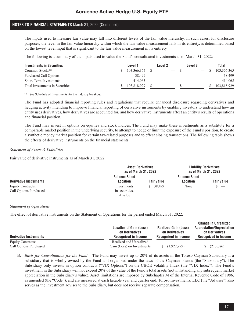The inputs used to measure fair value may fall into different levels of the fair value hierarchy. In such cases, for disclosure purposes, the level in the fair value hierarchy within which the fair value measurement falls in its entirety, is determined based on the lowest level input that is significant to the fair value measurement in its entirety.

The following is a summary of the inputs used to value the Fund's consolidated investments as of March 31, 2022:

| <b>Investments in Securities</b> | Level 1     | Level 2 | Level 3 | Total       |
|----------------------------------|-------------|---------|---------|-------------|
| Common Stocks $(1)$              | 103.366.365 |         |         | 103,366,365 |
| Purchased Call Options           | 38.499      |         |         | 38,499      |
| Short-Term Investments           | 414.065     |         |         | 414,065     |
| Total Investments in Securities  | 103,818,929 | $-$     |         | 103.818.929 |

(1) See Schedule of Investments for the industry breakout.

The Fund has adopted financial reporting rules and regulations that require enhanced disclosure regarding derivatives and hedging activity intending to improve financial reporting of derivative instruments by enabling investors to understand how an entity uses derivatives, how derivatives are accounted for, and how derivative instruments affect an entity's results of operations and financial position.

The Fund may invest in options on equities and stock indices. The Fund may make these investments as a substitute for a comparable market position in the underlying security, to attempt to hedge or limit the exposure of the Fund's position, to create a synthetic money market position for certain tax-related purposes and to effect closing transactions. The following table shows the effects of derivative instruments on the financial statements.

### *Statement of Assets & Liabilities*

Fair value of derivative instruments as of March 31, 2022:

|                                             |                                           | <b>Asset Derivatives</b><br>as of March 31, 2022 |                                  | <b>Liability Derivatives</b><br>as of March 31, 2022 |
|---------------------------------------------|-------------------------------------------|--------------------------------------------------|----------------------------------|------------------------------------------------------|
| <b>Derivative Instruments</b>               | <b>Balance Sheet</b><br>Location          | <b>Fair Value</b>                                | <b>Balance Sheet</b><br>Location | <b>Fair Value</b>                                    |
| Equity Contracts:<br>Call Options Purchased | Investments<br>in securities.<br>at value | 38.499                                           | None                             |                                                      |

### *Statement of Operations*

The effect of derivative instruments on the Statement of Operations for the period ended March 31, 2022:

| <b>Derivative Instruments</b> | <b>Location of Gain (Loss)</b><br>on Derivatives<br>Recognized in Income | <b>Realized Gain (Loss)</b><br>on Derivatives<br><b>Recognized in Income</b> | <b>Change in Unrealized</b><br><b>Appreciation/Depreciation</b><br>on Derivatives<br><b>Recognized in Income</b> |
|-------------------------------|--------------------------------------------------------------------------|------------------------------------------------------------------------------|------------------------------------------------------------------------------------------------------------------|
| Equity Contracts:             | Realized and Unrealized                                                  |                                                                              |                                                                                                                  |
| Call Options Purchased        | Gain (Loss) on Investments                                               | (1,922,999)                                                                  | (213,086)                                                                                                        |

B. *Basis for Consolidation for the Fund* – The Fund may invest up to 20% of its assets in the Toroso Cayman Subsidiary I, a subsidiary that is wholly-owned by the Fund and organized under the laws of the Cayman Islands (the "Subsidiary"). The Subsidiary only invests in option contracts ("VIX Options") on the CBOE Volatility Index (the "VIX Index"). The Fund's investment in the Subsidiary will not exceed 20% of the value of the Fund's total assets (notwithstanding any subsequent market appreciation in the Subsidiary's value). Asset limitations are imposed by Subchapter M of the Internal Revenue Code of 1986, as amended (the "Code"), and are measured at each taxable year and quarter end. Toroso Investments, LLC (the "Adviser") also serves as the investment adviser to the Subsidiary, but does not receive separate compensation.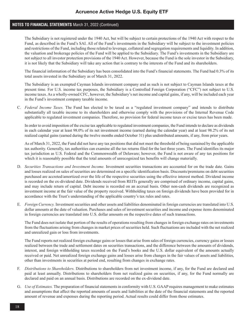The Subsidiary is not registered under the 1940 Act, but will be subject to certain protections of the 1940 Act with respect to the Fund, as described in the Fund's SAI. All of the Fund's investments in the Subsidiary will be subject to the investment policies and restrictions of the Fund, including those related to leverage, collateral and segregation requirements and liquidity. In addition, the valuation and brokerage policies of the Fund will be applied to the Subsidiary. The Fund's investments in the Subsidiary are not subject to all investor protection provisions of the 1940 Act. However, because the Fund is the sole investor in the Subsidiary, it is not likely that the Subsidiary will take any action that is contrary to the interests of the Fund and its shareholders.

The financial information of the Subsidiary has been consolidated into the Fund's financial statements. The Fund had 0.3% of its total assets invested in the Subsidiary as of March 31, 2022.

The Subsidiary is an exempted Cayman Islands investment company and as such is not subject to Cayman Islands taxes at the present time. For U.S. income tax purposes, the Subsidiary is a Controlled Foreign Corporation ("CFC") not subject to U.S. income taxes. As a wholly-owned CFC, however, the Subsidiary's net income and capital gains, if any, will be included each year in the Fund's investment company taxable income.

C. *Federal Income Taxes.* The Fund has elected to be taxed as a "regulated investment company" and intends to distribute substantially all taxable income to its shareholders and otherwise comply with the provisions of the Internal Revenue Code applicable to regulated investment companies. Therefore, no provision for federal income taxes or excise taxes has been made.

In order to avoid imposition of the excise tax applicable to regulated investment companies, the Fund intends to declare as dividends in each calendar year at least 98.0% of its net investment income (earned during the calendar year) and at least 98.2% of its net realized capital gains (earned during the twelve months ended October 31) plus undistributed amounts, if any, from prior years.

As of March 31, 2022, the Fund did not have any tax positions that did not meet the threshold of being sustained by the applicable tax authority. Generally, tax authorities can examine all the tax returns filed for the last three years. The Fund identifies its major tax jurisdiction as U.S. Federal and the Commonwealth of Delaware; however, the Fund is not aware of any tax positions for which it is reasonably possible that the total amounts of unrecognized tax benefits will change materially.

- D. *Securities Transactions and Investment Income.* Investment securities transactions are accounted for on the trade date. Gains and losses realized on sales of securities are determined on a specific identification basis. Discounts/premiums on debt securities purchased are accreted/amortized over the life of the respective securities using the effective interest method. Dividend income is recorded on the ex-dividend date. Dividends received from REITs generally are comprised of ordinary income, capital gains, and may include return of capital. Debt income is recorded on an accrual basis. Other non-cash dividends are recognized as investment income at the fair value of the property received. Withholding taxes on foreign dividends have been provided for in accordance with the Trust's understanding of the applicable country's tax rules and rates.
- E. *Foreign Currency.* Investment securities and other assets and liabilities denominated in foreign currencies are translated into U.S. dollar amounts at the date of valuation. Purchases and sales of investment securities and income and expense items denominated in foreign currencies are translated into U.S. dollar amounts on the respective dates of such transactions.

The Fund does not isolate that portion of the results of operations resulting from changes in foreign exchange rates on investments from the fluctuations arising from changes in market prices of securities held. Such fluctuations are included with the net realized and unrealized gain or loss from investments.

The Fund reports net realized foreign exchange gains or losses that arise from sales of foreign currencies, currency gains or losses realized between the trade and settlement dates on securities transactions, and the difference between the amounts of dividends, interest, and foreign withholding taxes recorded on the Fund's books and the U.S. dollar equivalent of the amounts actually received or paid. Net unrealized foreign exchange gains and losses arise from changes in the fair values of assets and liabilities, other than investments in securities at period end, resulting from changes in exchange rates.

- F. *Distributions to Shareholders.* Distributions to shareholders from net investment income, if any, for the Fund are declared and paid at least annually. Distributions to shareholders from net realized gains on securities, if any, for the Fund normally are declared and paid on an annual basis. Distributions are recorded on the ex-dividend date.
- G. *Use of Estimates.* The preparation of financial statements in conformity with U.S. GAAP requires management to make estimates and assumptions that affect the reported amounts of assets and liabilities at the date of the financial statements and the reported amount of revenue and expenses during the reporting period. Actual results could differ from those estimates.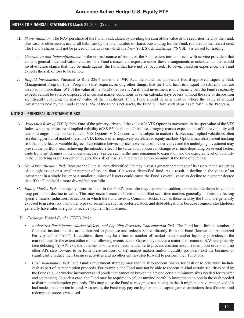- H. *Share Valuation.* The NAV per share of the Fund is calculated by dividing the sum of the value of the securities held by the Fund, plus cash or other assets, minus all liabilities by the total number of shares outstanding for the Fund, rounded to the nearest cent. The Fund's shares will not be priced on the days on which the New York Stock Exchange ("NYSE") is closed for trading.
- I. *Guarantees and Indemnifications.* In the normal course of business, the Fund enters into contracts with service providers that contain general indemnification clauses. The Fund's maximum exposure under these arrangements is unknown as this would involve future claims that may be made against the Fund that have not yet occurred. However, based on experience, the Fund expects the risk of loss to be remote.
- J. *Illiquid Investments*. Pursuant to Rule 22e-4 under the 1940 Act, the Fund has adopted a Board-approved Liquidity Risk Management Program (the "Program") that requires, among other things, that the Fund limit its illiquid investments that are assets to no more than 15% of the value of the Fund's net assets. An illiquid investment is any security that the Fund reasonably expects cannot be sold or disposed of in current market conditions in seven calendar days or less without the sale or disposition significantly changing the market value of the investment. If the Fund should be in a position where the value of illiquid investments held by the Fund exceeds 15% of the Fund's net assets, the Fund will take such steps as set forth in the Program.

### **NOTE 3 – PRINCIPAL INVESTMENT RISKS**

- A. *Associated Risks of VIX Options.* One of the primary drivers of the value of a VIX Option is movement in the spot value of the VIX Index, which is a measure of implied volatility of S&P 500 options. Therefore, changing market expectations of future volatility will lead to changes in the market value of VIX Options. VIX Options will be subject to market risk. Because implied volatilities often rise during periods of market stress, the VIX Index is often negatively correlated to equity markets. Options may also present tracking risk. An imperfect or variable degree of correlation between price movements of the derivative and the underlying investment may prevent the portfolio from achieving the intended effect. The value of an option can change over time depending on several factors aside from just changes in the underlying asset's price, such as the time remaining to expiration and the expected level of volatility in the underlying asset. For option buyers, the risk of loss is limited to the option premium at the time of purchase.
- B. *Non-Diversification Risk.* Because the Fund is "non-diversified," it may invest a greater percentage of its assets in the securities of a single issuer or a smaller number of issuers than if it was a diversified fund. As a result, a decline in the value of an investment in a single issuer or a smaller number of issuers could cause the Fund's overall value to decline to a greater degree than if the Fund held a more diversified portfolio.
- C. *Equity Market Risk.* The equity securities held in the Fund's portfolio may experience sudden, unpredictable drops in value or long periods of decline in value. This may occur because of factors that affect securities markets generally or factors affecting specific issuers, industries, or sectors in which the Fund invests. Common stocks, such as those held by the Fund, are generally exposed to greater risk than other types of securities, such as preferred stock and debt obligations, because common stockholders generally have inferior rights to receive payment from issuers.

### D. *Exchange Traded Fund ("ETF") Risks.*

- *Authorized Participants, Market Makers, and Liquidity Providers Concentration Risk.* The Fund has a limited number of financial institutions that are authorized to purchase and redeem Shares directly from the Fund (known as "Authorized Participants" or "APs"). In addition, there may be a limited number of market makers and/or liquidity providers in the marketplace. To the extent either of the following events occur, Shares may trade at a material discount to NAV and possibly face delisting: (i) APs exit the business or otherwise become unable to process creation and/or redemption orders and no other APs step forward to perform these services; or (ii) market makers and/or liquidity providers exit the business or significantly reduce their business activities and no other entities step forward to perform their functions.
- *Cash Redemption Risk.* The Fund's investment strategy may require it to redeem Shares for cash or to otherwise include cash as part of its redemption proceeds. For example, the Fund may not be able to redeem in-kind certain securities held by the Fund (e.g., derivative instruments and bonds that cannot be broken up beyond certain minimum sizes needed for transfer and settlement). In such a case, the Fund may be required to sell or unwind portfolio investments to obtain the cash needed to distribute redemption proceeds. This may cause the Fund to recognize a capital gain that it might not have recognized if it had made a redemption in-kind. As a result, the Fund may pay out higher annual capital gain distributions than if the in-kind redemption process was used.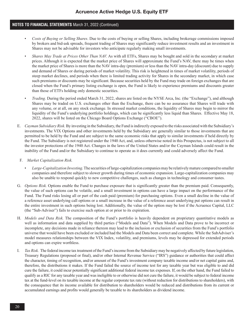- *Costs of Buying or Selling Shares*. Due to the costs of buying or selling Shares, including brokerage commissions imposed by brokers and bid-ask spreads, frequent trading of Shares may significantly reduce investment results and an investment in Shares may not be advisable for investors who anticipate regularly making small investments.
- *Shares May Trade at Prices Other Than NAV.* As with all ETFs, Shares may be bought and sold in the secondary at market prices. Although it is expected that the market price of Shares will approximate the Fund's NAV, there may be times when the market price of Shares is more than the NAV intra-day (premium) or less than the NAV intra-day (discount) due to supply and demand of Shares or during periods of market volatility. This risk is heightened in times of market volatility, periods of steep market declines, and periods when there is limited trading activity for Shares in the secondary market, in which case such premiums or discounts may be significant. Because securities held by the Fund may trade on foreign exchanges that are closed when the Fund's primary listing exchange is open, the Fund is likely to experience premiums and discounts greater than those of ETFs holding only domestic securities.
- *Trading.* During the period ended March 31, 2022, shares are listed on the NYSE Arca, Inc. (the "Exchange"), and although Shares may be traded on U.S. exchanges other than the Exchange, there can be no assurance that Shares will trade with any volume, or at all, on any stock exchange. In stressed market conditions, the liquidity of Shares may begin to mirror the liquidity of the Fund's underlying portfolio holdings, which can be significantly less liquid than Shares. Effective May 18, 2022, shares will be listed on the Chicago Board Options Exchange ("CBOE").
- E. *Cayman Subsidiary Risk.* By investing in the Subsidiary, the Fund is indirectly exposed to the risks associated with the Subsidiary's investments. The VIX Options and other investments held by the Subsidiary are generally similar to those investments that are permitted to be held by the Fund and are subject to the same economic risks that apply to similar investments if held directly by the Fund. The Subsidiary is not registered under the 1940 Act, and, unless otherwise noted in this Prospectus, is not subject to all the investor protections of the 1940 Act. Changes in the laws of the United States and/or the Cayman Islands could result in the inability of the Fund and/or the Subsidiary to continue to operate as it does currently and could adversely affect the Fund.
- F. *Market Capitalization Risk.*
	- *Large-Capitalization Investing*. The securities of large-capitalization companies may be relatively mature compared to smaller companies and therefore subject to slower growth during times of economic expansion. Large-capitalization companies may also be unable to respond quickly to new competitive challenges, such as changes in technology and consumer tastes.
- G. *Options Risk.* Options enable the Fund to purchase exposure that is significantly greater than the premium paid. Consequently, the value of such options can be volatile, and a small investment in options can have a large impact on the performance of the Fund. The Fund risks losing all or part of the cash paid (premium) for purchasing options. Even a small decline in the value of a reference asset underlying call options or a small increase in the value of a reference asset underlying put options can result in the entire investment in such options being lost. Additionally, the value of the option may be lost if the Acruence Capital, LLC (the "Sub-Adviser") fails to exercise such option at or prior to its expiration.
- H. *Models and Data Risk.* The composition of the Fund's portfolio is heavily dependent on proprietary quantitative models as well as information and data supplied by third parties ("Models and Data"). When Models and Data prove to be incorrect or incomplete, any decisions made in reliance thereon may lead to the inclusion or exclusion of securities from the Fund's portfolio universe that would have been excluded or included had the Models and Data been correct and complete. While the SubAdviser's model measures relationships between the VIX Index, volatility, and premiums, levels may be depressed for extended periods and options can expire worthless.
- I. *Tax Risk.* The federal income tax treatment of the Fund's income from the Subsidiary may be negatively affected by future legislation, Treasury Regulations (proposed or final), and/or other Internal Revenue Service ("IRS") guidance or authorities that could affect the character, timing of recognition, and/or amount of the Fund's investment company taxable income and/or net capital gains and, therefore, the distributions it makes. If the Fund failed the source of income test for any taxable year but was eligible to and did cure the failure, it could incur potentially significant additional federal income tax expenses. If, on the other hand, the Fund failed to qualify as a RIC for any taxable year and was ineligible to or otherwise did not cure the failure, it would be subject to federal income tax at the fund-level on its taxable income at the regular corporate tax rate (without reduction for distributions to shareholders), with the consequence that its income available for distribution to shareholders would be reduced and distributions from its current or accumulated earnings and profits would generally be taxable to its shareholders as dividend income.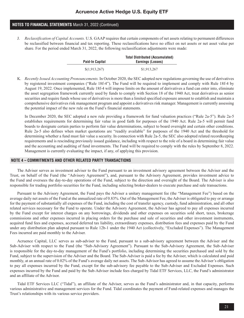J. *Reclassification of Capital Accounts.* U.S. GAAP requires that certain components of net assets relating to permanent differences be reclassified between financial and tax reporting. These reclassifications have no effect on net assets or net asset value per share. For the period ended March 31, 2022, the following reclassification adjustments were made:

| <b>Paid-In Capital</b> | <b>Total Distributed (Accumulated)</b><br>Earnings (Losses) |
|------------------------|-------------------------------------------------------------|
| \$(1,913,267)          | \$1,913,267                                                 |

K. *Recently Issued Accounting Pronouncements.* In October 2020, the SEC adopted new regulations governing the use of derivatives by registered investment companies ("Rule 18f-4"). The Fund will be required to implement and comply with Rule 18f-4 by August 19, 2022. Once implemented, Rule 18f-4 will impose limits on the amount of derivatives a fund can enter into, eliminate the asset segregation framework currently used by funds to comply with Section 18 of the 1940 Act, treat derivatives as senior securities and require funds whose use of derivatives is more than a limited specified exposure amount to establish and maintain a comprehensive derivatives risk management program and appoint a derivatives risk manager. Management is currently assessing the potential impact of the new rule on the Fund's financial statements.

In December 2020, the SEC adopted a new rule providing a framework for fund valuation practices ("Rule 2a-5"). Rule 2a-5 establishes requirements for determining fair value in good faith for purposes of the 1940 Act. Rule 2a-5 will permit fund boards to designate certain parties to perform fair value determinations, subject to board oversight and certain other conditions. Rule 2a-5 also defines when market quotations are "readily available" for purposes of the 1940 Act and the threshold for determining whether a fund must fair value a security. In connection with Rule 2a-5, the SEC also adopted related recordkeeping requirements and is rescinding previously issued guidance, including with respect to the role of a board in determining fair value and the accounting and auditing of fund investments. The Fund will be required to comply with the rules by September 8, 2022. Management is currently evaluating the impact, if any, of applying this provision.

### **NOTE 4 – COMMITMENTS AND OTHER RELATED PARTY TRANSACTIONS**

The Adviser serves as investment adviser to the Fund pursuant to an investment advisory agreement between the Adviser and the Trust, on behalf of the Fund (the "Advisory Agreement"), and, pursuant to the Advisory Agreement, provides investment advice to the Fund and oversees the day-to-day operations of the Fund, subject to the direction and oversight of the Board. The Adviser is also responsible for trading portfolio securities for the Fund, including selecting broker-dealers to execute purchase and sale transactions.

Pursuant to the Advisory Agreement, the Fund pays the Adviser a unitary management fee (the "Management Fee") based on the average daily net assets of the Fund at the annualized rate of 0.83%. Out of the Management Fee, the Adviser is obligated to pay or arrange for the payment of substantially all expenses of the Fund, including the cost of transfer agency, custody, fund administration, and all other related services necessary for the Fund to operate. Under the Advisory Agreement, the Adviser has agreed to pay all expenses incurred by the Fund except for interest charges on any borrowings, dividends and other expenses on securities sold short, taxes, brokerage commissions and other expenses incurred in placing orders for the purchase and sale of securities and other investment instruments, acquired fund fees and expenses, accrued deferred tax liability, extraordinary expenses, distribution fees and expenses paid by the Fund under any distribution plan adopted pursuant to Rule 12b-1 under the 1940 Act (collectively, "Excluded Expenses"). The Management Fees incurred are paid monthly to the Adviser.

Acruence Capital, LLC serves as sub-adviser to the Fund, pursuant to a sub-advisory agreement between the Adviser and the Sub-Adviser with respect to the Fund (the "Sub-Advisory Agreement"). Pursuant to the Sub-Advisory Agreement, the Sub-Adviser is responsible for the day-to-day management of the Fund's portfolio, including determining the securities purchased and sold by the Fund, subject to the supervision of the Adviser and the Board. The Sub-Adviser is paid a fee by the Adviser, which is calculated and paid monthly, at an annual rate of 0.02% of the Fund's average daily net assets. The Sub-Advisor has agreed to assume the Adviser's obligation to pay all expenses incurred by the Fund, except for the sub-advisory fee payable to the Sub-Adviser and Excluded Expenses. Such expenses incurred by the Fund and paid by the Sub-Adviser include fees charged by Tidal ETF Services, LLC, the Fund's administrator and an affiliate of the Advisor.

Tidal ETF Services LLC ("Tidal"), an affiliate of the Adviser, serves as the Fund's administrator and, in that capacity, performs various administrative and management services for the Fund. Tidal coordinates the payment of Fund-related expenses and manages the Trust's relationships with its various service providers.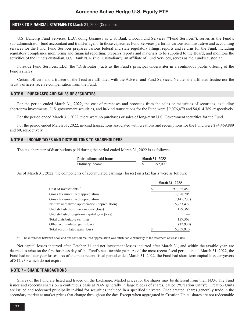### Acruence Active Hedge U.S. Equity ETF

### **NOTES TO FINANCIAL STATEMENTS** March 31, 2022 (Continued)

U.S. Bancorp Fund Services, LLC, doing business as U.S. Bank Global Fund Services ("Fund Services"), serves as the Fund's sub-administrator, fund accountant and transfer agent. In those capacities Fund Services performs various administrative and accounting services for the Fund. Fund Services prepares various federal and state regulatory filings, reports and returns for the Fund, including regulatory compliance monitoring and financial reporting; prepares reports and materials to be supplied to the Board; and monitors the activities of the Fund's custodian. U.S. Bank N.A. (the "Custodian"), an affiliate of Fund Services, serves as the Fund's custodian.

Foreside Fund Services, LLC (the "Distributor") acts as the Fund's principal underwriter in a continuous public offering of the Fund's shares.

Certain officers and a trustee of the Trust are affiliated with the Adviser and Fund Services. Neither the affiliated trustee nor the Trust's officers receive compensation from the Fund.

### **NOTE 5 – PURCHASES AND SALES OF SECURITIES**

For the period ended March 31, 2022, the cost of purchases and proceeds from the sales or maturities of securities, excluding short-term investments, U.S. government securities, and in-kind transactions for the Fund were \$9,076,479 and \$4,614,769, respectively.

For the period ended March 31, 2022, there were no purchases or sales of long-term U.S. Government securities for the Fund.

For the period ended March 31, 2022, in-kind transactions associated with creations and redemptions for the Fund were \$94,469,889 and \$0, respectively.

### **NOTE 6 – INCOME TAXES AND DISTRIBUTONS TO SHAREHOLDERS**

The tax character of distributions paid during the period ended March 31, 2022 is as follows:

| <b>Distributions paid from:</b> | <b>March 31, 2022</b> |
|---------------------------------|-----------------------|
| Ordinary income                 | 292,000               |

As of March 31, 2022, the components of accumulated earnings (losses) on a tax basis were as follows:

|                                                |   | March 31, 2022 |
|------------------------------------------------|---|----------------|
| Cost of investments $(1)$                      |   | 97,065,457     |
| Gross tax unrealized appreciation              |   | 13,898,705     |
| Gross tax unrealized depreciation              |   | (7, 145, 233)  |
| Net tax unrealized appreciation (depreciation) |   | 6,753,472      |
| Undistributed ordinary income (loss)           |   | 129,368        |
| Undistributed long-term capital gain (loss)    |   |                |
| Total distributable earnings                   |   | 129,368        |
| Other accumulated gain (loss)                  |   | (12,930)       |
| Total accumulated gain (loss)                  | S | 6,869,910      |

(1) The difference between book and tax-basis unrealized appreciation was attributable primarily to the treatment of wash sales.

Net capital losses incurred after October 31 and net investment losses incurred after March 31, and within the taxable year, are deemed to arise on the first business day of the Fund's next taxable year. As of the most recent fiscal period ended March 31, 2022, the Fund had no later year losses. As of the most recent fiscal period ended March 31, 2022, the Fund had short-term capital loss carryovers of \$12,930 which do not expire.

#### **NOTE 7 – SHARE TRANSACTIONS**

Shares of the Fund are listed and traded on the Exchange. Market prices for the shares may be different from their NAV. The Fund issues and redeems shares on a continuous basis at NAV generally in large blocks of shares, called ("Creation Units"). Creation Units are issued and redeemed principally in-kind for securities included in a specified universe. Once created, shares generally trade in the secondary market at market prices that change throughout the day. Except when aggregated in Creation Units, shares are not redeemable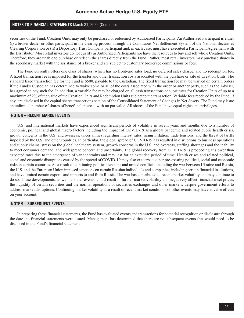securities of the Fund. Creation Units may only be purchased or redeemed by Authorized Participants. An Authorized Participant is either (i) a broker-dealer or other participant in the clearing process through the Continuous Net Settlement System of the National Securities Clearing Corporation or (ii) a Depository Trust Company participant and, in each case, must have executed a Participant Agreement with the Distributor. Most retail investors do not qualify as Authorized Participants nor have the resources to buy and sell whole Creation Units. Therefore, they are unable to purchase or redeem the shares directly from the Fund. Rather, most retail investors may purchase shares in the secondary market with the assistance of a broker and are subject to customary brokerage commissions or fees.

The Fund currently offers one class of shares, which has no front-end sales load, no deferred sales charge, and no redemption fee. A fixed transaction fee is imposed for the transfer and other transaction costs associated with the purchase or sale of Creation Units. The standard fixed transaction fee for the Fund is \$500, payable to the Custodian. The fixed transaction fee may be waived on certain orders if the Fund's Custodian has determined to waive some or all of the costs associated with the order or another party, such as the Adviser, has agreed to pay such fee. In addition, a variable fee may be charged on all cash transactions or substitutes for Creation Units of up to a maximum of 2% of the value of the Creation Units and Redemption Units subject to the transaction. Variable fees received by the Fund, if any, are disclosed in the capital shares transactions section of the Consolidated Statement of Changes in Net Assets. The Fund may issue an unlimited number of shares of beneficial interest, with no par value. All shares of the Fund have equal rights and privileges.

### **NOTE 8 – RECENT MARKET EVENTS**

U.S. and international markets have experienced significant periods of volatility in recent years and months due to a number of economic, political and global macro factors including the impact of COVID-19 as a global pandemic and related public health crisis, growth concerns in the U.S. and overseas, uncertainties regarding interest rates, rising inflation, trade tensions, and the threat of tariffs imposed by the U.S. and other countries. In particular, the global spread of COVID-19 has resulted in disruptions to business operations and supply chains, stress on the global healthcare system, growth concerns in the U.S. and overseas, staffing shortages and the inability to meet consumer demand, and widespread concern and uncertainty. The global recovery from COVID-19 is proceeding at slower than expected rates due to the emergence of variant strains and may last for an extended period of time. Health crises and related political, social and economic disruptions caused by the spread of COVID-19 may also exacerbate other pre-existing political, social and economic risks in certain countries. As a result of continuing political tensions and armed conflicts, including the war between Ukraine and Russia, the U.S. and the European Union imposed sanctions on certain Russian individuals and companies, including certain financial institutions, and have limited certain exports and imports to and from Russia. The war has contributed to recent market volatility and may continue to do so. These developments, as well as other events, could result in further market volatility and negatively affect financial asset prices, the liquidity of certain securities and the normal operations of securities exchanges and other markets, despite government efforts to address market disruptions. Continuing market volatility as a result of recent market conditions or other events may have adverse effects on your account.

#### **NOTE 9 – SUBSEQUENT EVENTS**

In preparing these financial statements, the Fund has evaluated events and transactions for potential recognition or disclosure through the date the financial statements were issued. Management has determined that there are no subsequent events that would need to be disclosed in the Fund's financial statements.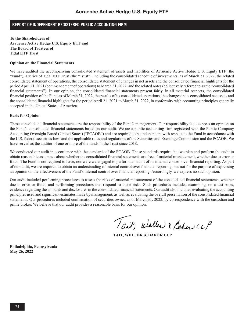### **REPORT OF INDEPENDENT REGISTERED PUBLIC ACCOUNTING FIRM**

**To the Shareholders of Acruence Active Hedge U.S. Equity ETF and The Board of Trustees of Tidal ETF Trust**

#### **Opinion on the Financial Statements**

We have audited the accompanying consolidated statement of assets and liabilities of Acruence Active Hedge U.S. Equity ETF (the "Fund"), a series of Tidal ETF Trust (the "Trust"), including the consolidated schedule of investments, as of March 31, 2022, the related consolidated statement of operations, the consolidated statement of changes in net assets and the consolidated financial highlights for the period April 21, 2021 (commencement of operations) to March 31, 2022, and the related notes (collectively referred to as the "consolidated financial statements"). In our opinion, the consolidated financial statements present fairly, in all material respects, the consolidated financial position of the Fund as of March 31, 2022, the results of its consolidated operations, the changes in its consolidated net assets and the consolidated financial highlights for the period April 21, 2021 to March 31, 2022, in conformity with accounting principles generally accepted in the United States of America.

### **Basis for Opinion**

These consolidated financial statements are the responsibility of the Fund's management. Our responsibility is to express an opinion on the Fund's consolidated financial statements based on our audit. We are a public accounting firm registered with the Public Company Accounting Oversight Board (United States) ("PCAOB") and are required to be independent with respect to the Fund in accordance with the U.S. federal securities laws and the applicable rules and regulations of the Securities and Exchange Commission and the PCAOB. We have served as the auditor of one or more of the funds in the Trust since 2018.

We conducted our audit in accordance with the standards of the PCAOB. Those standards require that we plan and perform the audit to obtain reasonable assurance about whether the consolidated financial statements are free of material misstatement, whether due to error or fraud. The Fund is not required to have, nor were we engaged to perform, an audit of its internal control over financial reporting. As part of our audit, we are required to obtain an understanding of internal control over financial reporting, but not for the purpose of expressing an opinion on the effectiveness of the Fund's internal control over financial reporting. Accordingly, we express no such opinion.

Our audit included performing procedures to assess the risks of material misstatement of the consolidated financial statements, whether due to error or fraud, and performing procedures that respond to those risks. Such procedures included examining, on a test basis, evidence regarding the amounts and disclosures in the consolidated financial statements. Our audit also included evaluating the accounting principles used and significant estimates made by management, as well as evaluating the overall presentation of the consolidated financial statements. Our procedures included confirmation of securities owned as of March 31, 2022, by correspondence with the custodian and prime broker. We believe that our audit provides a reasonable basis for our opinion.

Tait, weller & Baher CLP

**TAIT, WELLER & BAKER LLP**

**Philadelphia, Pennsylvania May 26, 2022**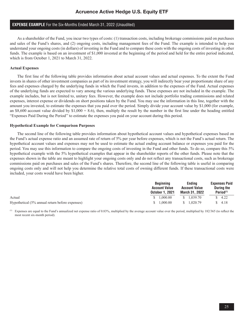### **EXPENSE EXAMPLE** For the Six-Months Ended March 31, 2022 (Unaudited)

As a shareholder of the Fund, you incur two types of costs: (1) transaction costs, including brokerage commissions paid on purchases and sales of the Fund's shares, and (2) ongoing costs, including management fees of the Fund. The example is intended to help you understand your ongoing costs (in dollars) of investing in the Fund and to compare these costs with the ongoing costs of investing in other funds. The example is based on an investment of \$1,000 invested at the beginning of the period and held for the entire period indicated, which is from October 1, 2021 to March 31, 2022.

### **Actual Expenses**

The first line of the following table provides information about actual account values and actual expenses. To the extent the Fund invests in shares of other investment companies as part of its investment strategy, you will indirectly bear your proportionate share of any fees and expenses charged by the underlying funds in which the Fund invests, in addition to the expenses of the Fund. Actual expenses of the underlying funds are expected to vary among the various underlying funds. These expenses are not included in the example. The example includes, but is not limited to, unitary fees. However, the example does not include portfolio trading commissions and related expenses, interest expense or dividends on short positions taken by the Fund. You may use the information in this line, together with the amount you invested, to estimate the expenses that you paid over the period. Simply divide your account value by \$1,000 (for example, an \$8,600 account value divided by  $$1,000 = 8.6$ ), then, multiply the result by the number in the first line under the heading entitled "Expenses Paid During the Period'' to estimate the expenses you paid on your account during this period.

#### **Hypothetical Example for Comparison Purposes**

The second line of the following table provides information about hypothetical account values and hypothetical expenses based on the Fund's actual expense ratio and an assumed rate of return of 5% per year before expenses, which is not the Fund's actual return. The hypothetical account values and expenses may not be used to estimate the actual ending account balance or expenses you paid for the period. You may use this information to compare the ongoing costs of investing in the Fund and other funds. To do so, compare this 5% hypothetical example with the 5% hypothetical examples that appear in the shareholder reports of the other funds. Please note that the expenses shown in the table are meant to highlight your ongoing costs only and do not reflect any transactional costs, such as brokerage commissions paid on purchases and sales of the Fund's shares. Therefore, the second line of the following table is useful in comparing ongoing costs only and will not help you determine the relative total costs of owning different funds. If these transactional costs were included, your costs would have been higher.

|                                                 | <b>Beginning</b><br><b>Account Value</b><br><b>October 1, 2021</b> | Endina<br><b>Account Value</b><br>March 31, 2022 | <b>Expenses Paid</b><br>During the<br>Period <sup>(1)</sup> |
|-------------------------------------------------|--------------------------------------------------------------------|--------------------------------------------------|-------------------------------------------------------------|
| Actual                                          | 0.000100<br>$\mathcal{S}$                                          | 1.039.70<br>S.                                   | 4.22                                                        |
| Hypothetical (5% annual return before expenses) | .000.00<br>S.                                                      | 1.020.79                                         | 4.18                                                        |

 $^{(1)}$  Expenses are equal to the Fund's annualized net expense ratio of 0.83%, multiplied by the average account value over the period, multiplied by 182/365 (to reflect the most recent six-month period).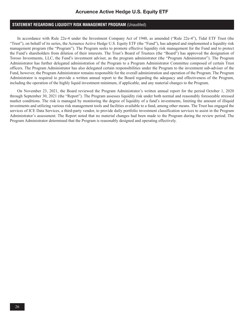### **STATEMENT REGARDING LIQUIDITY RISK MANAGEMENT PROGRAM** (Unaudited)

In accordance with Rule 22e-4 under the Investment Company Act of 1940, as amended ("Rule 22e-4"), Tidal ETF Trust (the "Trust"), on behalf of its series, the Acruence Active Hedge U.S. Equity ETF (the "Fund"), has adopted and implemented a liquidity risk management program (the "Program"). The Program seeks to promote effective liquidity risk management for the Fund and to protect the Fund's shareholders from dilution of their interests. The Trust's Board of Trustees (the "Board") has approved the designation of Toroso Investments, LLC, the Fund's investment adviser, as the program administrator (the "Program Administrator"). The Program Administrator has further delegated administration of the Program to a Program Administrator Committee composed of certain Trust officers. The Program Administrator has also delegated certain responsibilities under the Program to the investment sub-adviser of the Fund, however, the Program Administrator remains responsible for the overall administration and operation of the Program. The Program Administrator is required to provide a written annual report to the Board regarding the adequacy and effectiveness of the Program, including the operation of the highly liquid investment minimum, if applicable, and any material changes to the Program.

On November 23, 2021, the Board reviewed the Program Administrator's written annual report for the period October 1, 2020 through September 30, 2021 (the "Report"). The Program assesses liquidity risk under both normal and reasonably foreseeable stressed market conditions. The risk is managed by monitoring the degree of liquidity of a fund's investments, limiting the amount of illiquid investments and utilizing various risk management tools and facilities available to a fund, among other means. The Trust has engaged the services of ICE Data Services, a third-party vendor, to provide daily portfolio investment classification services to assist in the Program Administrator's assessment. The Report noted that no material changes had been made to the Program during the review period. The Program Administrator determined that the Program is reasonably designed and operating effectively.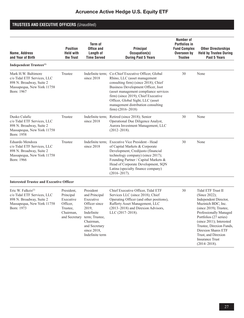# Acruence Active Hedge U.S. Equity ETF

# **TRUSTEES AND EXECUTIVE OFFICERS** (Unaudited)

| Name, Address<br>and Year of Birth                                                                                                    | <b>Position</b><br><b>Held with</b><br>the Trust                                           | Term of<br><b>Office and</b><br>Length of<br><b>Time Served</b>                                                                                                      | Principal<br>Occupation(s)<br><b>During Past 5 Years</b>                                                                                                                                                                                                                                                                                              | <b>Number of</b><br><b>Portfolios in</b><br><b>Fund Complex</b><br>Overseen by<br><b>Trustee</b> | <b>Other Directorships</b><br><b>Held by Trustee During</b><br>Past 5 Years                                                                                                                                                                                                                                          |
|---------------------------------------------------------------------------------------------------------------------------------------|--------------------------------------------------------------------------------------------|----------------------------------------------------------------------------------------------------------------------------------------------------------------------|-------------------------------------------------------------------------------------------------------------------------------------------------------------------------------------------------------------------------------------------------------------------------------------------------------------------------------------------------------|--------------------------------------------------------------------------------------------------|----------------------------------------------------------------------------------------------------------------------------------------------------------------------------------------------------------------------------------------------------------------------------------------------------------------------|
| Independent Trustees <sup>(1)</sup>                                                                                                   |                                                                                            |                                                                                                                                                                      |                                                                                                                                                                                                                                                                                                                                                       |                                                                                                  |                                                                                                                                                                                                                                                                                                                      |
| Mark H.W. Baltimore<br>c/o Tidal ETF Services, LLC<br>898 N. Broadway, Suite 2<br>Massapequa, New York 11758<br>Born: 1967            | Trustee                                                                                    | since 2018                                                                                                                                                           | Indefinite term: Co-Chief Executive Officer, Global<br>Rhino, LLC (asset management<br>consulting firm) (since 2018); Chief<br>Business Development Officer, Joot<br>(asset management compliance services<br>firm) (since 2019); Chief Executive<br>Officer, Global Sight, LLC (asset<br>management distribution consulting<br>firm) $(2016 - 2018)$ | 30                                                                                               | None                                                                                                                                                                                                                                                                                                                 |
| Dusko Culafic<br>c/o Tidal ETF Services, LLC<br>898 N. Broadway, Suite 2<br>Massapequa, New York 11758<br>Born: 1958                  | Trustee                                                                                    | since 2018                                                                                                                                                           | Indefinite term; Retired (since 2018); Senior<br>Operational Due Diligence Analyst,<br>Aurora Investment Management, LLC<br>$(2012 - 2018).$                                                                                                                                                                                                          | 30                                                                                               | None                                                                                                                                                                                                                                                                                                                 |
| Eduardo Mendoza<br>c/o Tidal ETF Services, LLC<br>898 N. Broadway, Suite 2<br>Massapequa, New York 11758<br>Born: 1966                | Trustee                                                                                    | since 2018                                                                                                                                                           | Indefinite term; Executive Vice President - Head<br>of Capital Markets & Corporate<br>Development, Credijusto (financial<br>technology company) (since 2017);<br>Founding Partner / Capital Markets &<br>Head of Corporate Development, SQN<br>Latina (specialty finance company)<br>$(2016 - 2017).$                                                 | 30                                                                                               | None                                                                                                                                                                                                                                                                                                                 |
| <b>Interested Trustee and Executive Officer</b>                                                                                       |                                                                                            |                                                                                                                                                                      |                                                                                                                                                                                                                                                                                                                                                       |                                                                                                  |                                                                                                                                                                                                                                                                                                                      |
| Eric W. Falkeis <sup>(2)</sup><br>c/o Tidal ETF Services, LLC<br>898 N. Broadway, Suite 2<br>Massapequa, New York 11758<br>Born: 1973 | President,<br>Principal<br>Executive<br>Officer.<br>Trustee,<br>Chairman,<br>and Secretary | President<br>and Principal<br>Executive<br>Officer since<br>2019,<br>Indefinite<br>term; Trustee,<br>Chairman,<br>and Secretary<br>since $2018$ ,<br>Indefinite term | Chief Executive Officer, Tidal ETF<br>Services LLC (since 2018); Chief<br>Operating Officer (and other positions),<br>Rafferty Asset Management, LLC<br>(2013-2018) and Direxion Advisors,<br>LLC (2017-2018).                                                                                                                                        | 30                                                                                               | Tidal ETF Trust II<br>(Since 2022);<br>Independent Director,<br>Muzinich BDC, Inc.<br>(since 2019); Trustee,<br>Professionally Managed<br>Portfolios (27 series)<br>(since 2011); Interested<br>Trustee, Direxion Funds,<br>Direxion Shares ETF<br>Trust, and Direxion<br><b>Insurance Trust</b><br>$(2014 - 2018).$ |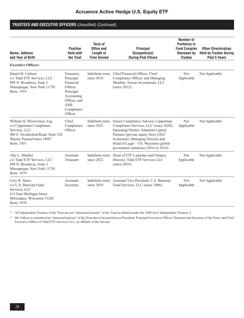### **TRUSTEES AND EXECUTIVE OFFICERS** (Unaudited) (Continued)

| Name, Address<br>and Year of Birth                                                                                                                       | <b>Position</b><br><b>Held with</b><br>the Trust                                                                            | Term of<br>Office and<br>Length of<br><b>Time Served</b> | <b>Principal</b><br>Occupation(s)<br><b>During Past 5Years</b>                                                                                                                                                                                                                       | <b>Number of</b><br><b>Portfolios in</b><br><b>Fund Complex</b><br>Overseen by<br><b>Trustee</b> | <b>Other Directorships</b><br><b>Held by Trustee During</b><br>Past 5 Years |
|----------------------------------------------------------------------------------------------------------------------------------------------------------|-----------------------------------------------------------------------------------------------------------------------------|----------------------------------------------------------|--------------------------------------------------------------------------------------------------------------------------------------------------------------------------------------------------------------------------------------------------------------------------------------|--------------------------------------------------------------------------------------------------|-----------------------------------------------------------------------------|
| <b>Executive Officers</b>                                                                                                                                |                                                                                                                             |                                                          |                                                                                                                                                                                                                                                                                      |                                                                                                  |                                                                             |
| Daniel H. Carlson<br>c/o Tidal ETF Services, LLC<br>898 N. Broadway, Suite 2<br>Massapequa, New York 11758<br>Born: 1955                                 | Treasurer,<br>Principal<br>Financial<br>Officer.<br>Principal<br>Accounting<br>Officer, and<br>AML<br>Compliance<br>Officer | Indefinite term:<br>since 2018                           | Chief Financial Officer, Chief<br>Compliance Officer, and Managing<br>Member, Toroso Investments, LLC<br>(since 2012).                                                                                                                                                               | <b>Not</b><br>Applicable                                                                         | Not Applicable                                                              |
| William H. Woolverton, Esq.<br>c/o Cipperman Compliance<br>Services, LLC<br>480 E. Swedesford Road, Suite 220<br>Wayne, Pennsylvania 19087<br>Born: 1951 | Chief<br>Compliance<br>Officer                                                                                              | Indefinite term:<br>since 2021                           | Senior Compliance Advisor, Cipperman<br>Compliance Services, LLC (since 2020);<br>Operating Partner, Altamont Capital<br>Partners (private equity firm) (2021<br>to present); Managing Director and<br>Head of Legal - US, Waystone (global<br>governance solutions) (2016 to 2019). | <b>Not</b><br>Applicable                                                                         | Not Applicable                                                              |
| Ally L. Mueller<br>c/o Tidal ETF Services, LLC<br>898 N. Broadway, Suite 2<br>Massapequa, New York 11758<br>Born: 1979                                   | Assistant<br>Treasurer                                                                                                      | since 2022                                               | Indefinite term; Head of ETF Launches and Finance<br>Director, Tidal ETF Services LLC<br>(since 2019).                                                                                                                                                                               | <b>Not</b><br>Applicable                                                                         | Not Applicable                                                              |
| Cory R. Akers<br>c/o U.S. Bancorp Fund<br>Services, LLC<br>615 East Michigan Street<br>Milwaukee, Wisconsin 53202<br>Born: 1978                          | Assistant<br>Secretary                                                                                                      | since 2019                                               | Indefinite term; Assistant Vice President, U.S. Bancorp<br>Fund Services, LLC (since 2006).                                                                                                                                                                                          | <b>Not</b><br>Applicable                                                                         | Not Applicable                                                              |

(1) All Independent Trustees of the Trust are not "interested persons" of the Trust as defined under the 1940 Act ("Independent Trustees").

(2) Mr. Falkeis is considered an "interested person" of the Trust due to his positions as President, Principal Executive Officer, Chairman and Secretary of the Trust, and Chief Executive Officer of Tidal ETF Services LLC, an affiliate of the Adviser.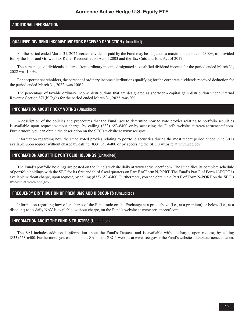### **ADDITIONAL INFORMATION**

### **QUALIFIED DIVIDEND INCOME/DIVIDENDS RECEIVED DEDUCTION** (Unaudited)

For the period ended March 31, 2022, certain dividends paid by the Fund may be subject to a maximum tax rate of 23.8%, as provided for by the Jobs and Growth Tax Relief Reconciliation Act of 2003 and the Tax Cuts and Jobs Act of 2017.

The percentage of dividends declared from ordinary income designated as qualified dividend income for the period ended March 31, 2022 was 100%.

For corporate shareholders, the percent of ordinary income distributions qualifying for the corporate dividends received deduction for the period ended March 31, 2022, was 100%.

The percentage of taxable ordinary income distributions that are designated as short-term capital gain distribution under Internal Revenue Section  $871(k)(2)(c)$  for the period ended March 31, 2022, was 0%.

### **INFORMATION ABOUT PROXY VOTING** (Unaudited)

A description of the policies and procedures that the Fund uses to determine how to vote proxies relating to portfolio securities is available upon request without charge, by calling (833) 653-6400 or by accessing the Fund's website at www.acruenceetf.com. Furthermore, you can obtain the description on the SEC's website at www.sec.gov.

Information regarding how the Fund voted proxies relating to portfolio securities during the most recent period ended June 30 is available upon request without charge by calling (833) 653-6400 or by accessing the SEC's website at www.sec.gov.

### **INFORMATION ABOUT THE PORTFOLIO HOLDINGS** (Unaudited)

The Fund's portfolio holdings are posted on the Fund's website daily at www.acruenceetf.com. The Fund files its complete schedule of portfolio holdings with the SEC for its first and third fiscal quarters on Part F of Form N-PORT. The Fund's Part F of Form N-PORT is available without charge, upon request, by calling (833) 653-6400. Furthermore, you can obtain the Part F of Form N-PORT on the SEC's website at www.sec.gov.

### **FREQUENCY DISTRIBUTION OF PREMIUMS AND DISCOUNTS** (Unaudited)

Information regarding how often shares of the Fund trade on the Exchange at a price above (i.e., at a premium) or below (i.e., at a discount) to its daily NAV is available, without charge, on the Fund's website at www.acruenceetf.com.

### **INFORMATION ABOUT THE FUND'S TRUSTEES** (Unaudited)

The SAI includes additional information about the Fund's Trustees and is available without charge, upon request, by calling (833) 653-6400. Furthermore, you can obtain the SAI on the SEC's website at www.sec.gov or the Fund's website at www.acruenceetf.com.